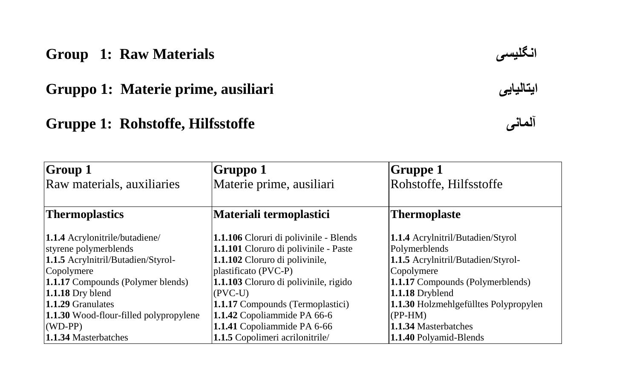#### **Group 1: Raw Materials**

**Gruppo 1: Materie prime, ausiliari ایتالیایی**

# **Gruppe 1: Rohstoffe, Hilfsstoffe**

| انگليسه |
|---------|
|---------|



| <b>Group 1</b>                         | Gruppo 1                                | Gruppe 1                                 |
|----------------------------------------|-----------------------------------------|------------------------------------------|
| Raw materials, auxiliaries             | Materie prime, ausiliari                | Rohstoffe, Hilfsstoffe                   |
|                                        |                                         |                                          |
| Thermoplastics                         | Materiali termoplastici                 | <b>Thermoplaste</b>                      |
| 1.1.4 Acrylonitrile/butadiene/         | 1.1.106 Cloruri di polivinile - Blends  | <b>1.1.4</b> Acrylnitril/Butadien/Styrol |
| styrene polymerblends                  | 1.1.101 Cloruro di polivinile - Paste   | Polymerblends                            |
| 1.1.5 Acrylnitril/Butadien/Styrol-     | 1.1.102 Cloruro di polivinile,          | 1.1.5 Acrylnitril/Butadien/Styrol-       |
| Copolymere                             | plastificato (PVC-P)                    | Copolymere                               |
| 1.1.17 Compounds (Polymer blends)      | 1.1.103 Cloruro di polivinile, rigido   | <b>1.1.17</b> Compounds (Polymerblends)  |
| $1.1.18$ Dry blend                     | $(PVC-U)$                               | 1.1.18 Dryblend                          |
| 1.1.29 Granulates                      | <b>1.1.17</b> Compounds (Termoplastici) | 1.1.30 Holzmehlgefülltes Polypropylen    |
| 1.1.30 Wood-flour-filled polypropylene | 1.1.42 Copoliammide PA 66-6             | $(PP-HM)$                                |
| $(WD-PP)$                              | 1.1.41 Copoliammide PA 6-66             | 1.1.34 Masterbatches                     |
| 1.1.34 Masterbatches                   | 1.1.5 Copolimeri acrilonitrile/         | 1.1.40 Polyamid-Blends                   |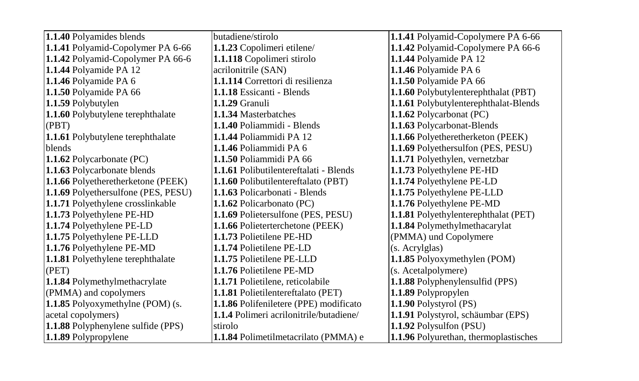| 1.1.40 Polyamides blends                  | butadiene/stirolo                             | 1.1.41 Polyamid-Copolymere PA 6-66    |
|-------------------------------------------|-----------------------------------------------|---------------------------------------|
| 1.1.41 Polyamid-Copolymer PA 6-66         | 1.1.23 Copolimeri etilene/                    | 1.1.42 Polyamid-Copolymere PA 66-6    |
| 1.1.42 Polyamid-Copolymer PA 66-6         | 1.1.118 Copolimeri stirolo                    | 1.1.44 Polyamide PA 12                |
| 1.1.44 Polyamide PA 12                    | acrilonitrile (SAN)                           | 1.1.46 Polyamide PA 6                 |
| 1.1.46 Polyamide PA 6                     | 1.1.114 Correttori di resilienza              | 1.1.50 Polyamide PA 66                |
| 1.1.50 Polyamide PA 66                    | 1.1.18 Essicanti - Blends                     | 1.1.60 Polybutylenterephthalat (PBT)  |
| 1.1.59 Polybutylen                        | 1.1.29 Granuli                                | 1.1.61 Polybutylenterephthalat-Blends |
| 1.1.60 Polybutylene terephthalate         | 1.1.34 Masterbatches                          | 1.1.62 Polycarbonat (PC)              |
| (PBT)                                     | 1.1.40 Poliammidi - Blends                    | 1.1.63 Polycarbonat-Blends            |
| 1.1.61 Polybutylene terephthalate         | 1.1.44 Poliammidi PA 12                       | 1.1.66 Polyetheretherketon (PEEK)     |
| <b>blends</b>                             | 1.1.46 Poliammidi PA 6                        | 1.1.69 Polyethersulfon (PES, PESU)    |
| 1.1.62 Polycarbonate (PC)                 | 1.1.50 Poliammidi PA 66                       | 1.1.71 Polyethylen, vernetzbar        |
| 1.1.63 Polycarbonate blends               | <b>1.1.61</b> Polibutilentereftalati - Blends | 1.1.73 Polyethylene PE-HD             |
| 1.1.66 Polyetheretherketone (PEEK)        | 1.1.60 Polibutilentereftalato (PBT)           | 1.1.74 Polyethylene PE-LD             |
| 1.1.69 Polyethersulfone (PES, PESU)       | 1.1.63 Policarbonati - Blends                 | 1.1.75 Polyethylene PE-LLD            |
| 1.1.71 Polyethylene crosslinkable         | 1.1.62 Policarbonato (PC)                     | 1.1.76 Polyethylene PE-MD             |
| 1.1.73 Polyethylene PE-HD                 | <b>1.1.69</b> Polietersulfone (PES, PESU)     | 1.1.81 Polyethylenterephthalat (PET)  |
| 1.1.74 Polyethylene PE-LD                 | 1.1.66 Polieterterchetone (PEEK)              | 1.1.84 Polymethylmethacarylat         |
| 1.1.75 Polyethylene PE-LLD                | 1.1.73 Polietilene PE-HD                      | (PMMA) und Copolymere                 |
| 1.1.76 Polyethylene PE-MD                 | 1.1.74 Polietilene PE-LD                      | (s. Acrylglas)                        |
| 1.1.81 Polyethylene terephthalate         | 1.1.75 Polietilene PE-LLD                     | 1.1.85 Polyoxymethylen (POM)          |
| (PET)                                     | 1.1.76 Polietilene PE-MD                      | (s. Acetalpolymere)                   |
| 1.1.84 Polymethylmethacrylate             | 1.1.71 Polietilene, reticolabile              | 1.1.88 Polyphenylensulfid (PPS)       |
| (PMMA) and copolymers                     | 1.1.81 Polietilentereftalato (PET)            | 1.1.89 Polypropylen                   |
| 1.1.85 Polyoxymethylne (POM) (s.          | 1.1.86 Polifeniletere (PPE) modificato        | 1.1.90 Polystyrol (PS)                |
| acetal copolymers)                        | 1.1.4 Polimeri acrilonitrile/butadiene/       | 1.1.91 Polystyrol, schäumbar (EPS)    |
| <b>1.1.88</b> Polyphenylene sulfide (PPS) | stirolo                                       | 1.1.92 Polysulfon (PSU)               |
| 1.1.89 Polypropylene                      | 1.1.84 Polimetilmetacrilato (PMMA) e          | 1.1.96 Polyurethan, thermoplastisches |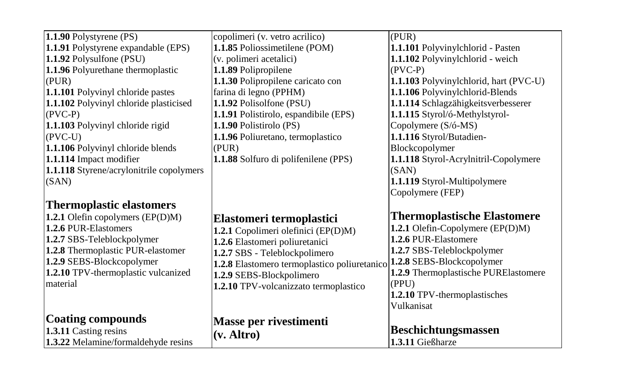| 1.1.90 Polystyrene (PS)                  | copolimeri (v. vetro acrilico)                                         | (PUR)                                  |
|------------------------------------------|------------------------------------------------------------------------|----------------------------------------|
| 1.1.91 Polystyrene expandable (EPS)      | 1.1.85 Poliossimetilene (POM)                                          | 1.1.101 Polyvinylchlorid - Pasten      |
| 1.1.92 Polysulfone (PSU)                 | (v. polimeri acetalici)                                                | 1.1.102 Polyvinylchlorid - weich       |
| 1.1.96 Polyurethane thermoplastic        | 1.1.89 Polipropilene                                                   | $(PVC-P)$                              |
| (PUR)                                    | 1.1.30 Polipropilene caricato con                                      | 1.1.103 Polyvinylchlorid, hart (PVC-U) |
| 1.1.101 Polyvinyl chloride pastes        | farina di legno (PPHM)                                                 | 1.1.106 Polyvinylchlorid-Blends        |
| 1.1.102 Polyvinyl chloride plasticised   | 1.1.92 Polisolfone (PSU)                                               | 1.1.114 Schlagzähigkeitsverbesserer    |
| $(PVC-P)$                                | 1.1.91 Polistirolo, espandibile (EPS)                                  | 1.1.115 Styrol/ó-Methylstyrol-         |
| 1.1.103 Polyvinyl chloride rigid         | 1.1.90 Polistirolo (PS)                                                | Copolymere (S/ó-MS)                    |
| $(PVC-U)$                                | 1.1.96 Poliuretano, termoplastico                                      | 1.1.116 Styrol/Butadien-               |
| 1.1.106 Polyvinyl chloride blends        | (PUR)                                                                  | Blockcopolymer                         |
| 1.1.114 Impact modifier                  | 1.1.88 Solfuro di polifenilene (PPS)                                   | 1.1.118 Styrol-Acrylnitril-Copolymere  |
| 1.1.118 Styrene/acrylonitrile copolymers |                                                                        | (SAN)                                  |
| (SAN)                                    |                                                                        | 1.1.119 Styrol-Multipolymere           |
|                                          |                                                                        | Copolymere (FEP)                       |
| <b>Thermoplastic elastomers</b>          |                                                                        |                                        |
| 1.2.1 Olefin copolymers (EP(D)M)         | Elastomeri termoplastici                                               | <b>Thermoplastische Elastomere</b>     |
| 1.2.6 PUR-Elastomers                     | 1.2.1 Copolimeri olefinici (EP(D)M)                                    | 1.2.1 Olefin-Copolymere (EP(D)M)       |
| 1.2.7 SBS-Teleblockpolymer               | 1.2.6 Elastomeri poliuretanici                                         | 1.2.6 PUR-Elastomere                   |
| 1.2.8 Thermoplastic PUR-elastomer        | 1.2.7 SBS - Teleblockpolimero                                          | 1.2.7 SBS-Teleblockpolymer             |
| 1.2.9 SEBS-Blockcopolymer                | 1.2.8 Elastomero termoplastico poliuretanico 1.2.8 SEBS-Blockcopolymer |                                        |
| 1.2.10 TPV-thermoplastic vulcanized      | 1.2.9 SEBS-Blockpolimero                                               | 1.2.9 Thermoplastische PURElastomere   |
| material                                 | 1.2.10 TPV-volcanizzato termoplastico                                  | (PPU)                                  |
|                                          |                                                                        | 1.2.10 TPV-thermoplastisches           |
|                                          |                                                                        | Vulkanisat                             |
| <b>Coating compounds</b>                 | Masse per rivestimenti                                                 |                                        |
| 1.3.11 Casting resins                    |                                                                        | <b>Beschichtungsmassen</b>             |
| 1.3.22 Melamine/formaldehyde resins      | $(v.$ Altro $)$                                                        | 1.3.11 Gießharze                       |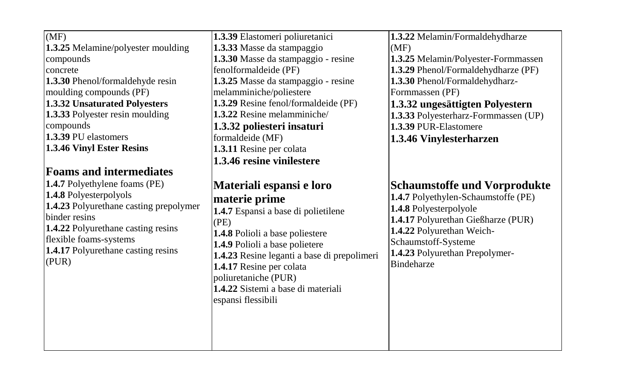| (MF)<br>1.3.25 Melamine/polyester moulding<br>compounds<br>concrete<br><b>1.3.30</b> Phenol/formaldehyde resin<br>moulding compounds (PF)<br>1.3.32 Unsaturated Polyesters<br>1.3.33 Polyester resin moulding<br>compounds<br>1.3.39 PU elastomers<br>1.3.46 Vinyl Ester Resins<br><b>Foams and intermediates</b> | 1.3.39 Elastomeri poliuretanici<br>1.3.33 Masse da stampaggio<br>1.3.30 Masse da stampaggio - resine<br>fenolformaldeide (PF)<br>1.3.25 Masse da stampaggio - resine<br>melamminiche/poliestere<br>1.3.29 Resine fenol/formaldeide (PF)<br>1.3.22 Resine melamminiche/<br>1.3.32 poliesteri insaturi<br>formaldeide (MF)<br>1.3.11 Resine per colata<br>1.3.46 resine vinilestere | 1.3.22 Melamin/Formaldehydharze<br>(MF)<br>1.3.25 Melamin/Polyester-Formmassen<br>1.3.29 Phenol/Formaldehydharze (PF)<br>1.3.30 Phenol/Formaldehydharz-<br>Formmassen (PF)<br>1.3.32 ungesättigten Polyestern<br>1.3.33 Polyesterharz-Formmassen (UP)<br>1.3.39 PUR-Elastomere<br>1.3.46 Vinylesterharzen |
|-------------------------------------------------------------------------------------------------------------------------------------------------------------------------------------------------------------------------------------------------------------------------------------------------------------------|-----------------------------------------------------------------------------------------------------------------------------------------------------------------------------------------------------------------------------------------------------------------------------------------------------------------------------------------------------------------------------------|-----------------------------------------------------------------------------------------------------------------------------------------------------------------------------------------------------------------------------------------------------------------------------------------------------------|
| 1.4.7 Polyethylene foams (PE)<br>1.4.8 Polyesterpolyols<br>1.4.23 Polyurethane casting prepolymer<br>binder resins<br>1.4.22 Polyurethane casting resins<br>flexible foams-systems<br><b>1.4.17</b> Polyurethane casting resins<br>(PUR)                                                                          | Materiali espansi e loro<br>materie prime<br>1.4.7 Espansi a base di polietilene<br>(PE)<br>1.4.8 Polioli a base poliestere<br>1.4.9 Polioli a base polietere<br>1.4.23 Resine leganti a base di prepolimeri<br>1.4.17 Resine per colata<br>poliuretaniche (PUR)<br>1.4.22 Sistemi a base di materiali<br>espansi flessibili                                                      | <b>Schaumstoffe und Vorprodukte</b><br>1.4.7 Polyethylen-Schaumstoffe (PE)<br>1.4.8 Polyesterpolyole<br>1.4.17 Polyurethan Gießharze (PUR)<br>1.4.22 Polyurethan Weich-<br>Schaumstoff-Systeme<br>1.4.23 Polyurethan Prepolymer-<br><b>Bindeharze</b>                                                     |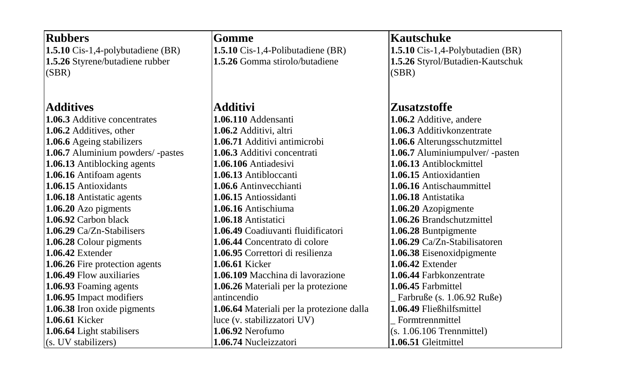| <b>Rubbers</b>                           | Gomme                                     | <b>Kautschuke</b>                |
|------------------------------------------|-------------------------------------------|----------------------------------|
| <b>1.5.10</b> Cis-1,4-polybutadiene (BR) | <b>1.5.10</b> Cis-1,4-Polibutadiene (BR)  | 1.5.10 Cis-1,4-Polybutadien (BR) |
| 1.5.26 Styrene/butadiene rubber          | 1.5.26 Gomma stirolo/butadiene            | 1.5.26 Styrol/Butadien-Kautschuk |
| (SBR)                                    |                                           | (SBR)                            |
|                                          |                                           |                                  |
|                                          |                                           |                                  |
| <b>Additives</b>                         | Additivi                                  | Zusatzstoffe                     |
| 1.06.3 Additive concentrates             | 1.06.110 Addensanti                       | 1.06.2 Additive, andere          |
| 1.06.2 Additives, other                  | 1.06.2 Additivi, altri                    | 1.06.3 Additivkonzentrate        |
| 1.06.6 Ageing stabilizers                | 1.06.71 Additivi antimicrobi              | 1.06.6 Alterungsschutzmittel     |
| 1.06.7 Aluminium powders/-pastes         | 1.06.3 Additivi concentrati               | 1.06.7 Aluminiumpulver/-pasten   |
| 1.06.13 Antiblocking agents              | 1.06.106 Antiadesivi                      | 1.06.13 Antiblockmittel          |
| 1.06.16 Antifoam agents                  | 1.06.13 Antibloccanti                     | 1.06.15 Antioxidantien           |
| 1.06.15 Antioxidants                     | 1.06.6 Antinvecchianti                    | 1.06.16 Antischaummittel         |
| 1.06.18 Antistatic agents                | 1.06.15 Antiossidanti                     | 1.06.18 Antistatika              |
| 1.06.20 Azo pigments                     | 1.06.16 Antischiuma                       | 1.06.20 Azopigmente              |
| 1.06.92 Carbon black                     | 1.06.18 Antistatici                       | 1.06.26 Brandschutzmittel        |
| 1.06.29 Ca/Zn-Stabilisers                | 1.06.49 Coadiuvanti fluidificatori        | 1.06.28 Buntpigmente             |
| 1.06.28 Colour pigments                  | 1.06.44 Concentrato di colore             | 1.06.29 Ca/Zn-Stabilisatoren     |
| <b>1.06.42 Extender</b>                  | 1.06.95 Correttori di resilienza          | 1.06.38 Eisenoxidpigmente        |
| 1.06.26 Fire protection agents           | <b>1.06.61 Kicker</b>                     | $1.06.42$ Extender               |
| 1.06.49 Flow auxiliaries                 | 1.06.109 Macchina di lavorazione          | 1.06.44 Farbkonzentrate          |
| 1.06.93 Foaming agents                   | 1.06.26 Materiali per la protezione       | 1.06.45 Farbmittel               |
| 1.06.95 Impact modifiers                 | antincendio                               | Farbruße (s. 1.06.92 Ruße)       |
| 1.06.38 Iron oxide pigments              | 1.06.64 Materiali per la protezione dalla | 1.06.49 Fließhilfsmittel         |
| 1.06.61 Kicker                           | luce (v. stabilizzatori UV)               | Formtrennmittel                  |
| 1.06.64 Light stabilisers                | $1.06.92$ Nerofumo                        | $(s. 1.06.106$ Trennmittel)      |
| (s. UV stabilizers)                      | 1.06.74 Nucleizzatori                     | 1.06.51 Gleitmittel              |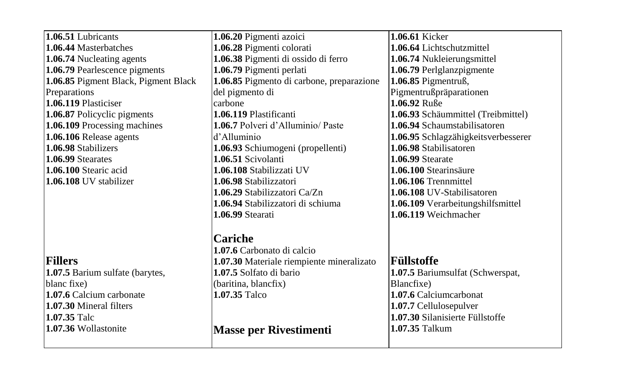| 1.06.51 Lubricants                   | 1.06.20 Pigmenti azoici                   | 1.06.61 Kicker                      |
|--------------------------------------|-------------------------------------------|-------------------------------------|
| 1.06.44 Masterbatches                | 1.06.28 Pigmenti colorati                 | 1.06.64 Lichtschutzmittel           |
| 1.06.74 Nucleating agents            | 1.06.38 Pigmenti di ossido di ferro       | 1.06.74 Nukleierungsmittel          |
| 1.06.79 Pearlescence pigments        | 1.06.79 Pigmenti perlati                  | 1.06.79 Perlglanzpigmente           |
| 1.06.85 Pigment Black, Pigment Black | 1.06.85 Pigmento di carbone, preparazione | 1.06.85 Pigmentruß,                 |
| Preparations                         | del pigmento di                           | Pigmentrußpräparationen             |
| 1.06.119 Plasticiser                 | carbone                                   | 1.06.92 Ruße                        |
| 1.06.87 Policyclic pigments          | 1.06.119 Plastificanti                    | 1.06.93 Schäummittel (Treibmittel)  |
| 1.06.109 Processing machines         | 1.06.7 Polveri d'Alluminio/Paste          | 1.06.94 Schaumstabilisatoren        |
| 1.06.106 Release agents              | d'Alluminio                               | 1.06.95 Schlagzähigkeitsverbesserer |
| 1.06.98 Stabilizers                  | 1.06.93 Schiumogeni (propellenti)         | 1.06.98 Stabilisatoren              |
| 1.06.99 Stearates                    | 1.06.51 Scivolanti                        | <b>1.06.99 Stearate</b>             |
| 1.06.100 Stearic acid                | 1.06.108 Stabilizzati UV                  | 1.06.100 Stearinsäure               |
| 1.06.108 UV stabilizer               | 1.06.98 Stabilizzatori                    | 1.06.106 Trennmittel                |
|                                      | 1.06.29 Stabilizzatori Ca/Zn              | <b>1.06.108</b> UV-Stabilisatoren   |
|                                      | 1.06.94 Stabilizzatori di schiuma         | 1.06.109 Verarbeitungshilfsmittel   |
|                                      | 1.06.99 Stearati                          | 1.06.119 Weichmacher                |
|                                      | Cariche                                   |                                     |
|                                      | 1.07.6 Carbonato di calcio                |                                     |
| Fillers                              | 1.07.30 Materiale riempiente mineralizato | Füllstoffe                          |
| 1.07.5 Barium sulfate (barytes,      | 1.07.5 Solfato di bario                   | 1.07.5 Bariumsulfat (Schwerspat,    |
| blanc fixe)                          | (baritina, blancfix)                      | Blancfixe)                          |
| 1.07.6 Calcium carbonate             | 1.07.35 Talco                             | 1.07.6 Calciumcarbonat              |
| 1.07.30 Mineral filters              |                                           | 1.07.7 Cellulosepulver              |
| 1.07.35 Talc                         |                                           | 1.07.30 Silanisierte Füllstoffe     |
| 1.07.36 Wollastonite                 | <b>Masse per Rivestimenti</b>             | 1.07.35 Talkum                      |
|                                      |                                           |                                     |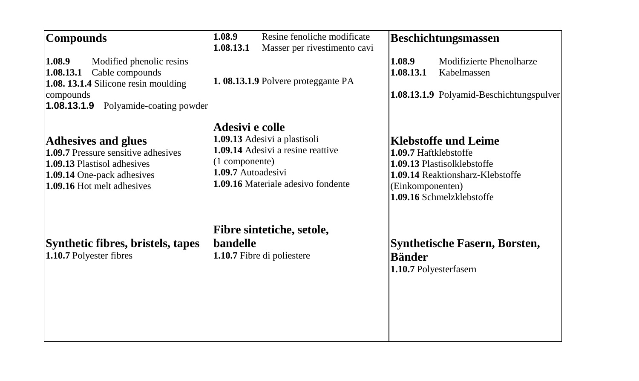| <b>Compounds</b>                                                                                                               | 1.08.9<br>Resine fenoliche modificate<br>1.08.13.1<br>Masser per rivestimento cavi                              | <b>Beschichtungsmassen</b>                                                                                                                |
|--------------------------------------------------------------------------------------------------------------------------------|-----------------------------------------------------------------------------------------------------------------|-------------------------------------------------------------------------------------------------------------------------------------------|
| 1.08.9<br>Modified phenolic resins<br>Cable compounds<br>1.08.13.1<br>1.08. 13.1.4 Silicone resin moulding<br>compounds        | 1.08.13.1.9 Polvere proteggante PA                                                                              | 1.08.9<br>Modifizierte Phenolharze<br>1.08.13.1<br>Kabelmassen<br>1.08.13.1.9 Polyamid-Beschichtungspulver                                |
| 1.08.13.1.9<br>Polyamide-coating powder<br><b>Adhesives and glues</b>                                                          | Adesivi e colle<br>1.09.13 Adesivi a plastisoli                                                                 | <b>Klebstoffe und Leime</b>                                                                                                               |
| 1.09.7 Pressure sensitive adhesives<br>1.09.13 Plastisol adhesives<br>1.09.14 One-pack adhesives<br>1.09.16 Hot melt adhesives | 1.09.14 Adesivi a resine reattive<br>(1 componente)<br>1.09.7 Autoadesivi<br>1.09.16 Materiale adesivo fondente | 1.09.7 Haftklebstoffe<br>1.09.13 Plastisolklebstoffe<br>1.09.14 Reaktionsharz-Klebstoffe<br>(Einkomponenten)<br>1.09.16 Schmelzklebstoffe |
| Synthetic fibres, bristels, tapes<br>1.10.7 Polyester fibres                                                                   | Fibre sintetiche, setole,<br>bandelle<br>1.10.7 Fibre di poliestere                                             | <b>Synthetische Fasern, Borsten,</b><br><b>Bänder</b><br>1.10.7 Polyesterfasern                                                           |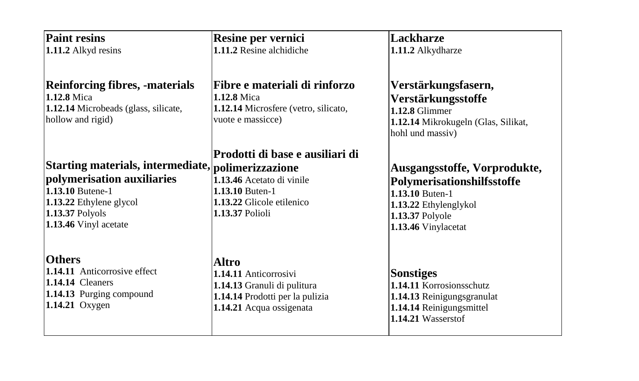| <b>Paint resins</b>                                                                                                                                                                | Resine per vernici                                                                                                                     | Lackharze                                                                                                                                        |
|------------------------------------------------------------------------------------------------------------------------------------------------------------------------------------|----------------------------------------------------------------------------------------------------------------------------------------|--------------------------------------------------------------------------------------------------------------------------------------------------|
| 1.11.2 Alkyd resins                                                                                                                                                                | 1.11.2 Resine alchidiche                                                                                                               | 1.11.2 Alkydharze                                                                                                                                |
| <b>Reinforcing fibres, -materials</b><br>1.12.8 Mica<br>1.12.14 Microbeads (glass, silicate,<br>hollow and rigid)                                                                  | Fibre e materiali di rinforzo<br>1.12.8 Mica<br>1.12.14 Microsfere (vetro, silicato,<br>vuote e massicce)                              | Verstärkungsfasern,<br>Verstärkungsstoffe<br>$1.12.8$ Glimmer<br>1.12.14 Mikrokugeln (Glas, Silikat,<br>hohl und massiv)                         |
| Starting materials, intermediate, polimerizzazione<br>polymerisation auxiliaries<br>1.13.10 Butene-1<br>1.13.22 Ethylene glycol<br><b>1.13.37 Polyols</b><br>1.13.46 Vinyl acetate | Prodotti di base e ausiliari di<br>1.13.46 Acetato di vinile<br><b>1.13.10 Buten-1</b><br>1.13.22 Glicole etilenico<br>1.13.37 Polioli | Ausgangsstoffe, Vorprodukte,<br>Polymerisationshilfsstoffe<br>1.13.10 Buten-1<br>1.13.22 Ethylenglykol<br>1.13.37 Polyole<br>1.13.46 Vinylacetat |
| <b>Others</b><br>1.14.11 Anticorrosive effect<br>1.14.14 Cleaners<br>1.14.13 Purging compound<br><b>1.14.21</b> Oxygen                                                             | Altro<br>1.14.11 Anticorrosivi<br>1.14.13 Granuli di pulitura<br>1.14.14 Prodotti per la pulizia<br>1.14.21 Acqua ossigenata           | <b>Sonstiges</b><br>1.14.11 Korrosionsschutz<br>1.14.13 Reinigungsgranulat<br>1.14.14 Reinigungsmittel<br>1.14.21 Wasserstof                     |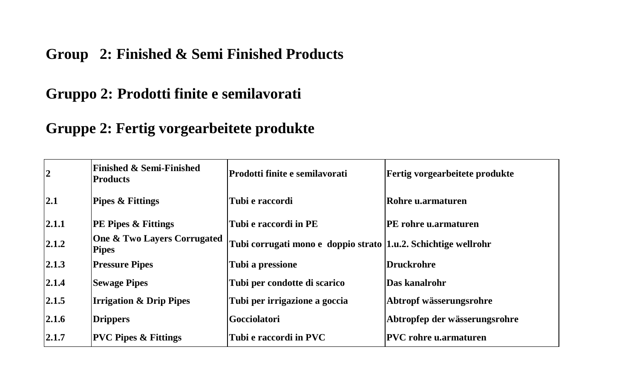#### **Group 2: Finished & Semi Finished Products**

## **Gruppo 2: Prodotti finite e semilavorati**

## **Gruppe 2: Fertig vorgearbeitete produkte**

| $\overline{2}$ | <b>Finished &amp; Semi-Finished</b><br><b>Products</b> | Prodotti finite e semilavorati                                   | <b>Fertig vorgearbeitete produkte</b> |
|----------------|--------------------------------------------------------|------------------------------------------------------------------|---------------------------------------|
| 2.1            | <b>Pipes &amp; Fittings</b>                            | Tubi e raccordi                                                  | Rohre u.armaturen                     |
| 2.1.1          | <b>PE Pipes &amp; Fittings</b>                         | Tubi e raccordi in PE                                            | <b>PE rohre u.armaturen</b>           |
| 2.1.2          | One & Two Layers Corrugated<br><b>Pipes</b>            | Tubi corrugati mono e doppio strato   1.u.2. Schichtige wellrohr |                                       |
| 2.1.3          | <b>Pressure Pipes</b>                                  | Tubi a pressione                                                 | Druckrohre                            |
| 2.1.4          | <b>Sewage Pipes</b>                                    | Tubi per condotte di scarico                                     | Das kanalrohr                         |
| 2.1.5          | <b>Irrigation &amp; Drip Pipes</b>                     | Tubi per irrigazione a goccia                                    | Abtropf wässerungsrohre               |
| 2.1.6          | <b>Drippers</b>                                        | Gocciolatori                                                     | Abtropfep der wässerungsrohre         |
| 2.1.7          | <b>PVC Pipes &amp; Fittings</b>                        | Tubi e raccordi in PVC                                           | <b>PVC rohre u.armaturen</b>          |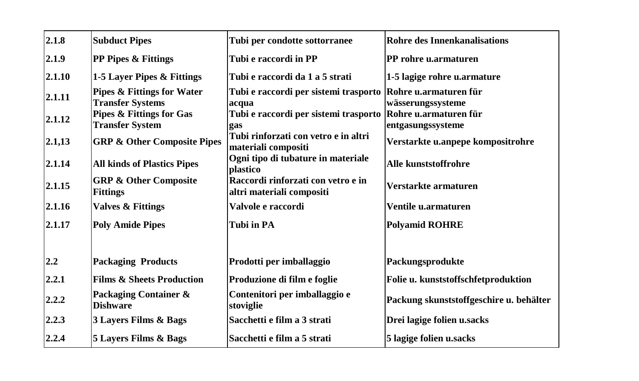| 2.1.8  | <b>Subduct Pipes</b>                                             | Tubi per condotte sottorranee                                   | <b>Rohre des Innenkanalisations</b>        |
|--------|------------------------------------------------------------------|-----------------------------------------------------------------|--------------------------------------------|
| 2.1.9  | <b>PP Pipes &amp; Fittings</b>                                   | Tubi e raccordi in PP                                           | PP rohre u.armaturen                       |
| 2.1.10 | 1-5 Layer Pipes & Fittings                                       | Tubi e raccordi da 1 a 5 strati                                 | 1-5 lagige rohre u.armature                |
| 2.1.11 | <b>Pipes &amp; Fittings for Water</b><br><b>Transfer Systems</b> | Tubi e raccordi per sistemi trasporto<br>acqua                  | Rohre u.armaturen für<br>wässerungssysteme |
| 2.1.12 | Pipes & Fittings for Gas<br><b>Transfer System</b>               | Tubi e raccordi per sistemi trasporto<br>gas                    | Rohre u.armaturen für<br>entgasungssysteme |
| 2.1,13 | <b>GRP &amp; Other Composite Pipes</b>                           | Tubi rinforzati con vetro e in altri<br>materiali compositi     | Verstarkte u.anpepe kompositrohre          |
| 2.1.14 | <b>All kinds of Plastics Pipes</b>                               | Ogni tipo di tubature in materiale<br>plastico                  | Alle kunststoffrohre                       |
| 2.1.15 | <b>GRP &amp; Other Composite</b><br><b>Fittings</b>              | Raccordi rinforzati con vetro e in<br>altri materiali compositi | Verstarkte armaturen                       |
| 2.1.16 | <b>Valves &amp; Fittings</b>                                     | Valvole e raccordi                                              | Ventile u.armaturen                        |
| 2.1.17 | <b>Poly Amide Pipes</b>                                          | <b>Tubi in PA</b>                                               | <b>Polyamid ROHRE</b>                      |
|        |                                                                  |                                                                 |                                            |
| 2.2    | <b>Packaging Products</b>                                        | Prodotti per imballaggio                                        | Packungsprodukte                           |
| 2.2.1  | <b>Films &amp; Sheets Production</b>                             | Produzione di film e foglie                                     | Folie u. kunststoffschfetproduktion        |
| 2.2.2  | Packaging Container &<br><b>Dishware</b>                         | Contenitori per imballaggio e<br>stoviglie                      | Packung skunststoffgeschire u. behälter    |
| 2.2.3  | 3 Layers Films & Bags                                            | Sacchetti e film a 3 strati                                     | Drei lagige folien u.sacks                 |
| 2.2.4  | 5 Layers Films & Bags                                            | Sacchetti e film a 5 strati                                     | 5 lagige folien u.sacks                    |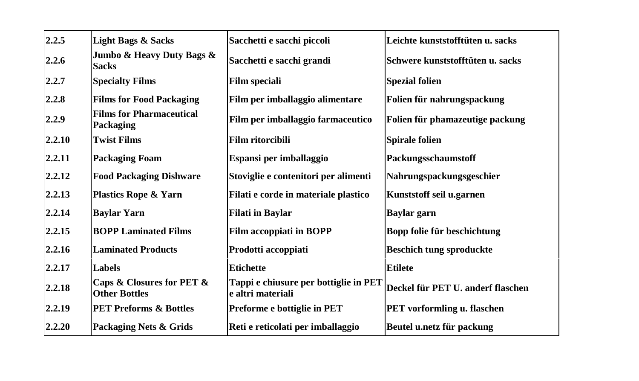| 2.2.5  | <b>Light Bags &amp; Sacks</b>                     | Sacchetti e sacchi piccoli                                 | Leichte kunststofftüten u. sacks  |
|--------|---------------------------------------------------|------------------------------------------------------------|-----------------------------------|
| 2.2.6  | Jumbo & Heavy Duty Bags &<br><b>Sacks</b>         | Sacchetti e sacchi grandi                                  | Schwere kunststofftüten u. sacks  |
| 2.2.7  | <b>Specialty Films</b>                            | <b>Film speciali</b>                                       | <b>Spezial folien</b>             |
| 2.2.8  | <b>Films for Food Packaging</b>                   | Film per imballaggio alimentare                            | Folien für nahrungspackung        |
| 2.2.9  | <b>Films for Pharmaceutical</b><br>Packaging      | Film per imballaggio farmaceutico                          | Folien für phamazeutige packung   |
| 2.2.10 | <b>Twist Films</b>                                | <b>Film ritorcibili</b>                                    | <b>Spirale folien</b>             |
| 2.2.11 | <b>Packaging Foam</b>                             | Espansi per imballaggio                                    | Packungsschaumstoff               |
| 2.2.12 | <b>Food Packaging Dishware</b>                    | Stoviglie e contenitori per alimenti                       | Nahrungspackungsgeschier          |
| 2.2.13 | <b>Plastics Rope &amp; Yarn</b>                   | Filati e corde in materiale plastico                       | Kunststoff seil u.garnen          |
| 2.2.14 | <b>Baylar Yarn</b>                                | <b>Filati in Baylar</b>                                    | <b>Baylar</b> garn                |
| 2.2.15 | <b>BOPP Laminated Films</b>                       | <b>Film accoppiati in BOPP</b>                             | Bopp folie für beschichtung       |
| 2.2.16 | <b>Laminated Products</b>                         | Prodotti accoppiati                                        | <b>Beschich tung sproduckte</b>   |
| 2.2.17 | Labels                                            | <b>Etichette</b>                                           | <b>Etilete</b>                    |
| 2.2.18 | Caps & Closures for PET &<br><b>Other Bottles</b> | Tappi e chiusure per bottiglie in PET<br>e altri materiali | Deckel für PET U. anderf flaschen |
| 2.2.19 | <b>PET Preforms &amp; Bottles</b>                 | Preforme e bottiglie in PET                                | PET vorformling u. flaschen       |
| 2.2.20 | Packaging Nets & Grids                            | Reti e reticolati per imballaggio                          | Beutel u.netz für packung         |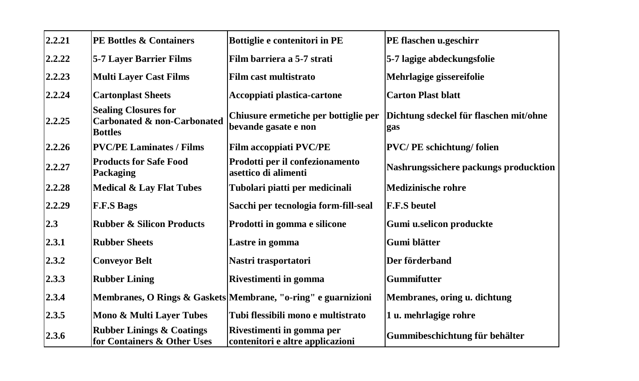| 2.2.21 | <b>PE Bottles &amp; Containers</b>                                           | Bottiglie e contenitori in PE                                 | PE flaschen u.geschirr                        |
|--------|------------------------------------------------------------------------------|---------------------------------------------------------------|-----------------------------------------------|
| 2.2.22 | 5-7 Layer Barrier Films                                                      | Film barriera a 5-7 strati                                    | 5-7 lagige abdeckungsfolie                    |
| 2.2.23 | <b>Multi Layer Cast Films</b>                                                | Film cast multistrato                                         | Mehrlagige gissereifolie                      |
| 2.2.24 | <b>Cartonplast Sheets</b>                                                    | Accoppiati plastica-cartone                                   | <b>Carton Plast blatt</b>                     |
| 2.2.25 | <b>Sealing Closures for</b><br>Carbonated & non-Carbonated<br><b>Bottles</b> | Chiusure ermetiche per bottiglie per<br>bevande gasate e non  | Dichtung sdeckel für flaschen mit/ohne<br>gas |
| 2.2.26 | <b>PVC/PE Laminates / Films</b>                                              | <b>Film accoppiati PVC/PE</b>                                 | <b>PVC/PE</b> schichtung/folien               |
| 2.2.27 | <b>Products for Safe Food</b><br>Packaging                                   | Prodotti per il confezionamento<br>asettico di alimenti       | Nashrungssichere packungs producktion         |
| 2.2.28 | <b>Medical &amp; Lay Flat Tubes</b>                                          | Tubolari piatti per medicinali                                | <b>Medizinische rohre</b>                     |
| 2.2.29 | <b>F.F.S Bags</b>                                                            | Sacchi per tecnologia form-fill-seal                          | <b>F.F.S beutel</b>                           |
| 2.3    | <b>Rubber &amp; Silicon Products</b>                                         | Prodotti in gomma e silicone                                  | Gumi u.selicon produckte                      |
| 2.3.1  | <b>Rubber Sheets</b>                                                         | Lastre in gomma                                               | Gumi blätter                                  |
| 2.3.2  | <b>Conveyor Belt</b>                                                         | Nastri trasportatori                                          | Der förderband                                |
| 2.3.3  | <b>Rubber Lining</b>                                                         | Rivestimenti in gomma                                         | <b>Gummifutter</b>                            |
| 2.3.4  |                                                                              | Membranes, O Rings & Gaskets Membrane, "o-ring" e guarnizioni | Membranes, oring u. dichtung                  |
| 2.3.5  | Mono & Multi Layer Tubes                                                     | Tubi flessibili mono e multistrato                            | 1 u. mehrlagige rohre                         |
| 2.3.6  | <b>Rubber Linings &amp; Coatings</b><br>for Containers & Other Uses          | Rivestimenti in gomma per<br>contenitori e altre applicazioni | Gummibeschichtung für behälter                |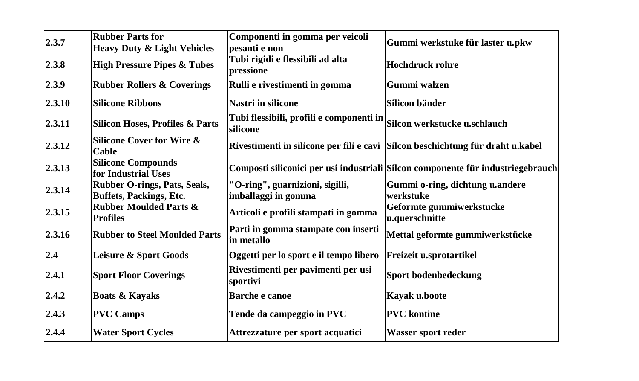| 2.3.7  | <b>Rubber Parts for</b>                                 | Componenti in gomma per veicoli                                                   | Gummi werkstuke für laster u.pkw                                                |
|--------|---------------------------------------------------------|-----------------------------------------------------------------------------------|---------------------------------------------------------------------------------|
|        | <b>Heavy Duty &amp; Light Vehicles</b>                  | pesanti e non                                                                     |                                                                                 |
| 2.3.8  | <b>High Pressure Pipes &amp; Tubes</b>                  | Tubi rigidi e flessibili ad alta<br>pressione                                     | <b>Hochdruck rohre</b>                                                          |
| 2.3.9  | <b>Rubber Rollers &amp; Coverings</b>                   | Rulli e rivestimenti in gomma                                                     | Gummi walzen                                                                    |
| 2.3.10 | <b>Silicone Ribbons</b>                                 | <b>Nastri in silicone</b>                                                         | Silicon bänder                                                                  |
| 2.3.11 | <b>Silicon Hoses, Profiles &amp; Parts</b>              | Tubi flessibili, profili e componenti in Silcon werkstucke u.schlauch<br>silicone |                                                                                 |
| 2.3.12 | <b>Silicone Cover for Wire &amp;</b><br>Cable           |                                                                                   | Rivestimenti in silicone per fili e cavi Silcon beschichtung für draht u.kabel  |
| 2.3.13 | <b>Silicone Compounds</b><br>for Industrial Uses        |                                                                                   | Composti siliconici per usi industriali Silcon componente für industriegebrauch |
| 2.3.14 | Rubber O-rings, Pats, Seals,<br>Buffets, Packings, Etc. | "O-ring", guarnizioni, sigilli,<br>imballaggi in gomma                            | Gummi o-ring, dichtung u.andere<br>werkstuke                                    |
| 2.3.15 | <b>Rubber Moulded Parts &amp;</b><br><b>Profiles</b>    | Articoli e profili stampati in gomma                                              | Geformte gummiwerkstucke<br>u.querschnitte                                      |
| 2.3.16 | <b>Rubber to Steel Moulded Parts</b>                    | Parti in gomma stampate con inserti<br>in metallo                                 | Mettal geformte gummiwerkstücke                                                 |
| 2.4    | Leisure & Sport Goods                                   | Oggetti per lo sport e il tempo libero                                            | Freizeit u.sprotartikel                                                         |
| 2.4.1  | <b>Sport Floor Coverings</b>                            | Rivestimenti per pavimenti per usi<br>sportivi                                    | Sport bodenbedeckung                                                            |
| 2.4.2  | <b>Boats &amp; Kayaks</b>                               | Barche e canoe                                                                    | Kayak u.boote                                                                   |
| 2.4.3  | <b>PVC Camps</b>                                        | Tende da campeggio in PVC                                                         | <b>PVC</b> kontine                                                              |
| 2.4.4  | <b>Water Sport Cycles</b>                               | Attrezzature per sport acquatici                                                  | <b>Wasser sport reder</b>                                                       |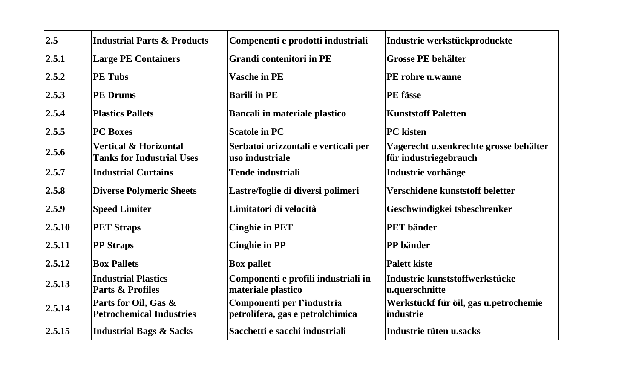| 2.5    | <b>Industrial Parts &amp; Products</b>                               | Compenenti e prodotti industriali                              | Industrie werkstückproduckte                                    |
|--------|----------------------------------------------------------------------|----------------------------------------------------------------|-----------------------------------------------------------------|
| 2.5.1  | <b>Large PE Containers</b>                                           | <b>Grandi contenitori in PE</b>                                | <b>Grosse PE behälter</b>                                       |
| 2.5.2  | <b>PE Tubs</b>                                                       | <b>Vasche in PE</b>                                            | PE rohre u.wanne                                                |
| 2.5.3  | <b>PE Drums</b>                                                      | <b>Barili in PE</b>                                            | PE fässe                                                        |
| 2.5.4  | <b>Plastics Pallets</b>                                              | <b>Bancali in materiale plastico</b>                           | <b>Kunststoff Paletten</b>                                      |
| 2.5.5  | <b>PC</b> Boxes                                                      | <b>Scatole in PC</b>                                           | <b>PC</b> kisten                                                |
| 2.5.6  | <b>Vertical &amp; Horizontal</b><br><b>Tanks for Industrial Uses</b> | Serbatoi orizzontali e verticali per<br>uso industriale        | Vagerecht u.senkrechte grosse behälter<br>für industriegebrauch |
| 2.5.7  | <b>Industrial Curtains</b>                                           | Tende industriali                                              | Industrie vorhänge                                              |
| 2.5.8  | <b>Diverse Polymeric Sheets</b>                                      | Lastre/foglie di diversi polimeri                              | Verschidene kunststoff beletter                                 |
| 2.5.9  | <b>Speed Limiter</b>                                                 | Limitatori di velocità                                         | Geschwindigkei tsbeschrenker                                    |
| 2.5.10 | <b>PET Straps</b>                                                    | <b>Cinghie in PET</b>                                          | <b>PET</b> bänder                                               |
| 2.5.11 | <b>PP</b> Straps                                                     | <b>Cinghie in PP</b>                                           | PP bänder                                                       |
| 2.5.12 | <b>Box Pallets</b>                                                   | <b>Box pallet</b>                                              | <b>Palett kiste</b>                                             |
| 2.5.13 | <b>Industrial Plastics</b><br>Parts & Profiles                       | Componenti e profili industriali in<br>materiale plastico      | Industrie kunststoffwerkstücke<br>u.querschnitte                |
| 2.5.14 | Parts for Oil, Gas &<br><b>Petrochemical Industries</b>              | Componenti per l'industria<br>petrolifera, gas e petrolchimica | Werkstückf für öil, gas u.petrochemie<br>industrie              |
| 2.5.15 | <b>Industrial Bags &amp; Sacks</b>                                   | Sacchetti e sacchi industriali                                 | Industrie tüten u.sacks                                         |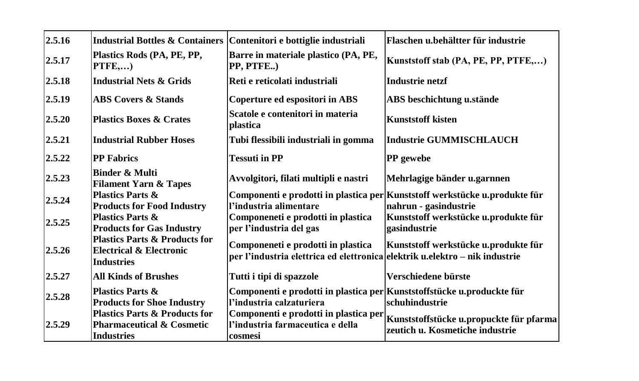| 2.5.16 | <b>Industrial Bottles &amp; Containers</b>                                                            | Contenitori e bottiglie industriali                                                                               | Flaschen u.behältter für industrie                                                                  |
|--------|-------------------------------------------------------------------------------------------------------|-------------------------------------------------------------------------------------------------------------------|-----------------------------------------------------------------------------------------------------|
| 2.5.17 | Plastics Rods (PA, PE, PP,<br>PTFE,)                                                                  | Barre in materiale plastico (PA, PE,<br>PP, PTFE)                                                                 | Kunststoff stab (PA, PE, PP, PTFE,)                                                                 |
| 2.5.18 | <b>Industrial Nets &amp; Grids</b>                                                                    | Reti e reticolati industriali                                                                                     | Industrie netzf                                                                                     |
| 2.5.19 | <b>ABS Covers &amp; Stands</b>                                                                        | Coperture ed espositori in ABS                                                                                    | ABS beschichtung u.stände                                                                           |
| 2.5.20 | <b>Plastics Boxes &amp; Crates</b>                                                                    | Scatole e contenitori in materia<br>plastica                                                                      | <b>Kunststoff kisten</b>                                                                            |
| 2.5.21 | <b>Industrial Rubber Hoses</b>                                                                        | Tubi flessibili industriali in gomma                                                                              | <b>Industrie GUMMISCHLAUCH</b>                                                                      |
| 2.5.22 | <b>PP Fabrics</b>                                                                                     | <b>Tessuti in PP</b>                                                                                              | PP gewebe                                                                                           |
| 2.5.23 | <b>Binder &amp; Multi</b><br><b>Filament Yarn &amp; Tapes</b>                                         | Avvolgitori, filati multipli e nastri                                                                             | Mehrlagige bänder u.garnnen                                                                         |
| 2.5.24 | <b>Plastics Parts &amp;</b><br><b>Products for Food Industry</b>                                      | l'industria alimentare                                                                                            | Componenti e prodotti in plastica per Kunststoff werkstücke u.produkte für<br>nahrun - gasindustrie |
| 2.5.25 | <b>Plastics Parts &amp;</b><br><b>Products for Gas Industry</b>                                       | Componeneti e prodotti in plastica<br>per l'industria del gas                                                     | Kunststoff werkstücke u.produkte für<br>gasindustrie                                                |
| 2.5.26 | <b>Plastics Parts &amp; Products for</b><br>Electrical & Electronic<br><b>Industries</b>              | Componeneti e prodotti in plastica<br>per l'industria elettrica ed elettronica elektrik u.elektro – nik industrie | Kunststoff werkstücke u.produkte für                                                                |
| 2.5.27 | <b>All Kinds of Brushes</b>                                                                           | Tutti i tipi di spazzole                                                                                          | Verschiedene bürste                                                                                 |
| 2.5.28 | <b>Plastics Parts &amp;</b><br><b>Products for Shoe Industry</b>                                      | Componenti e prodotti in plastica per Kunststoffstücke u.produckte für<br>l'industria calzaturiera                | schuhindustrie                                                                                      |
| 2.5.29 | <b>Plastics Parts &amp; Products for</b><br><b>Pharmaceutical &amp; Cosmetic</b><br><b>Industries</b> | Componenti e prodotti in plastica per<br>l'industria farmaceutica e della<br>cosmesi                              | Kunststoffstücke u.propuckte für pfarma<br>zeutich u. Kosmetiche industrie                          |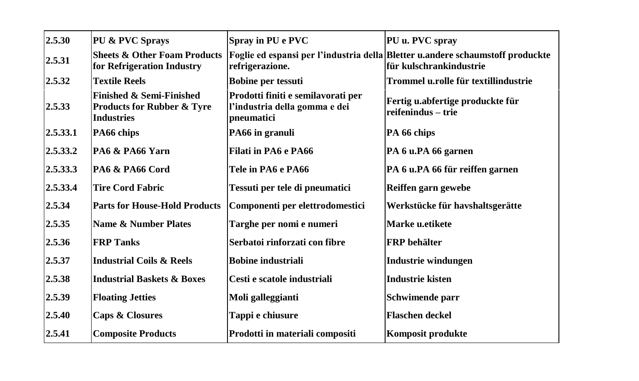| 2.5.30   | PU & PVC Sprays                                                                                   | Spray in PU e PVC                                                                 | PU u. PVC spray                                                                                            |
|----------|---------------------------------------------------------------------------------------------------|-----------------------------------------------------------------------------------|------------------------------------------------------------------------------------------------------------|
| 2.5.31   | <b>Sheets &amp; Other Foam Products</b><br>for Refrigeration Industry                             | refrigerazione.                                                                   | Foglie ed espansi per l'industria della Bletter u.andere schaumstoff produckte<br>lfür kulschrankindustrie |
| 2.5.32   | <b>Textile Reels</b>                                                                              | <b>Bobine per tessuti</b>                                                         | Trommel u.rolle für textillindustrie                                                                       |
| 2.5.33   | <b>Finished &amp; Semi-Finished</b><br><b>Products for Rubber &amp; Tyre</b><br><b>Industries</b> | Prodotti finiti e semilavorati per<br>l'industria della gomma e dei<br>pneumatici | Fertig u.abfertige produckte für<br>reifenindus - trie                                                     |
| 2.5.33.1 | PA66 chips                                                                                        | PA66 in granuli                                                                   | PA 66 chips                                                                                                |
| 2.5.33.2 | PA6 & PA66 Yarn                                                                                   | Filati in PA6 e PA66                                                              | PA 6 u.PA 66 garnen                                                                                        |
| 2.5.33.3 | PA6 & PA66 Cord                                                                                   | <b>Tele in PA6 e PA66</b>                                                         | PA 6 u.PA 66 für reiffen garnen                                                                            |
| 2.5.33.4 | <b>Tire Cord Fabric</b>                                                                           | Tessuti per tele di pneumatici                                                    | Reiffen garn gewebe                                                                                        |
| 2.5.34   | <b>Parts for House-Hold Products</b>                                                              | Componenti per elettrodomestici                                                   | Werkstücke für havshaltsgerätte                                                                            |
| 2.5.35   | <b>Name &amp; Number Plates</b>                                                                   | Targhe per nomi e numeri                                                          | Marke u.etikete                                                                                            |
| 2.5.36   | <b>FRP Tanks</b>                                                                                  | Serbatoi rinforzati con fibre                                                     | <b>FRP</b> behälter                                                                                        |
| 2.5.37   | <b>Industrial Coils &amp; Reels</b>                                                               | <b>Bobine industriali</b>                                                         | Industrie windungen                                                                                        |
| 2.5.38   | <b>Industrial Baskets &amp; Boxes</b>                                                             | Cesti e scatole industriali                                                       | <b>Industrie kisten</b>                                                                                    |
| 2.5.39   | <b>Floating Jetties</b>                                                                           | Moli galleggianti                                                                 | Schwimende parr                                                                                            |
| 2.5.40   | <b>Caps &amp; Closures</b>                                                                        | Tappi e chiusure                                                                  | <b>Flaschen</b> deckel                                                                                     |
| 2.5.41   | <b>Composite Products</b>                                                                         | Prodotti in materiali compositi                                                   | Komposit produkte                                                                                          |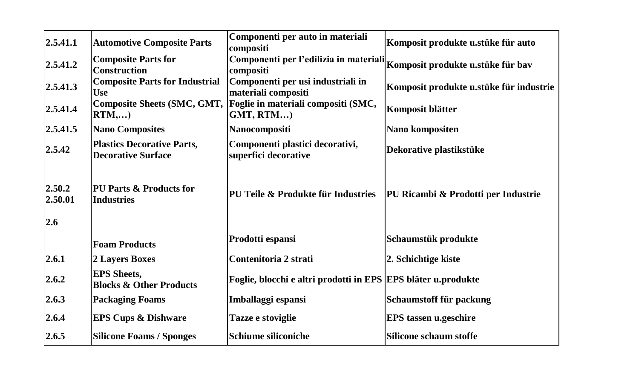| 2.5.41.1                 | <b>Automotive Composite Parts</b>                              | Componenti per auto in materiali<br>compositi                                              | Komposit produkte u.stüke für auto      |
|--------------------------|----------------------------------------------------------------|--------------------------------------------------------------------------------------------|-----------------------------------------|
| 2.5.41.2                 | <b>Composite Parts for</b><br><b>Construction</b>              | .<br>Componenti per l'edilizia in materiali Komposit produkte u.stüke für bav<br>compositi |                                         |
| 2.5.41.3                 | <b>Composite Parts for Industrial</b><br><b>Use</b>            | Componenti per usi industriali in<br>materiali compositi                                   | Komposit produkte u.stüke für industrie |
| 2.5.41.4                 | <b>Composite Sheets (SMC, GMT,</b><br>RTM,)                    | Foglie in materiali compositi (SMC,<br>GMT, RTM                                            | Komposit blätter                        |
| 2.5.41.5                 | <b>Nano Composites</b>                                         | Nanocompositi                                                                              | Nano kompositen                         |
| 2.5.42                   | <b>Plastics Decorative Parts,</b><br><b>Decorative Surface</b> | Componenti plastici decorativi,<br>superfici decorative                                    | Dekorative plastikstüke                 |
| 2.50.2<br>2.50.01<br>2.6 | <b>PU Parts &amp; Products for</b><br><b>Industries</b>        | PU Teile & Produkte für Industries                                                         | PU Ricambi & Prodotti per Industrie     |
|                          | <b>Foam Products</b>                                           | Prodotti espansi                                                                           | Schaumstük produkte                     |
| 2.6.1                    | 2 Layers Boxes                                                 | Contenitoria 2 strati                                                                      | 2. Schichtige kiste                     |
| 2.6.2                    | <b>EPS</b> Sheets,<br><b>Blocks &amp; Other Products</b>       | Foglie, blocchi e altri prodotti in EPS EPS bläter u.produkte                              |                                         |
| 2.6.3                    | <b>Packaging Foams</b>                                         | Imballaggi espansi                                                                         | Schaumstoff für packung                 |
| 2.6.4                    | <b>EPS Cups &amp; Dishware</b>                                 | Tazze e stoviglie                                                                          | EPS tassen u.geschire                   |
| 2.6.5                    | <b>Silicone Foams / Sponges</b>                                | Schiume siliconiche                                                                        | Silicone schaum stoffe                  |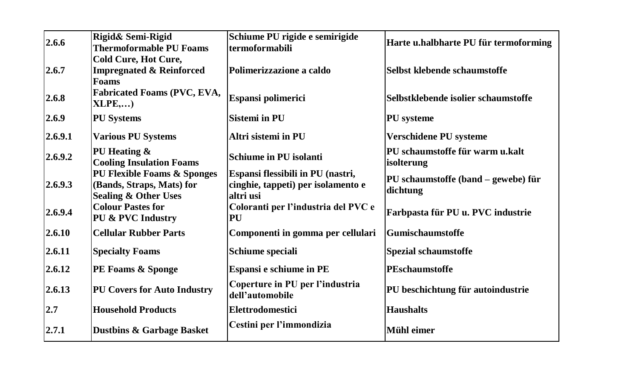|         | Rigid& Semi-Rigid                                        | Schiume PU rigide e semirigide                                          |                                       |
|---------|----------------------------------------------------------|-------------------------------------------------------------------------|---------------------------------------|
| 2.6.6   | <b>Thermoformable PU Foams</b>                           | termoformabili                                                          | Harte u.halbharte PU für termoforming |
|         | Cold Cure, Hot Cure,                                     |                                                                         |                                       |
| 2.6.7   | <b>Impregnated &amp; Reinforced</b>                      | Polimerizzazione a caldo                                                | Selbst klebende schaumstoffe          |
|         | <b>Foams</b>                                             |                                                                         |                                       |
| 2.6.8   | Fabricated Foams (PVC, EVA,<br>XLPE,)                    | Espansi polimerici                                                      | Selbstklebende isolier schaumstoffe   |
| 2.6.9   | <b>PU Systems</b>                                        | <b>Sistemi</b> in PU                                                    | <b>PU</b> systeme                     |
| 2.6.9.1 | <b>Various PU Systems</b>                                | Altri sistemi in PU                                                     | Verschidene PU systeme                |
| 2.6.9.2 | PU Heating &                                             | Schiume in PU isolanti                                                  | PU schaumstoffe für warm u.kalt       |
|         | <b>Cooling Insulation Foams</b>                          |                                                                         | isolterung                            |
| 2.6.9.3 | PU Flexible Foams & Sponges<br>(Bands, Straps, Mats) for | Espansi flessibili in PU (nastri,<br>cinghie, tappeti) per isolamento e | PU schaumstoffe (band – gewebe) für   |
|         | <b>Sealing &amp; Other Uses</b>                          | altri usi                                                               | dichtung                              |
|         | <b>Colour Pastes for</b>                                 | Coloranti per l'industria del PVC e                                     |                                       |
| 2.6.9.4 | PU & PVC Industry                                        | PU                                                                      | Farbpasta für PU u. PVC industrie     |
| 2.6.10  | <b>Cellular Rubber Parts</b>                             | Componenti in gomma per cellulari                                       | Gumischaumstoffe                      |
| 2.6.11  | <b>Specialty Foams</b>                                   | Schiume speciali                                                        | Spezial schaumstoffe                  |
| 2.6.12  | <b>PE Foams &amp; Sponge</b>                             | Espansi e schiume in PE                                                 | PEschaumstoffe                        |
| 2.6.13  | <b>PU Covers for Auto Industry</b>                       | Coperture in PU per l'industria<br>dell'automobile                      | PU beschichtung für autoindustrie     |
| 2.7     | <b>Household Products</b>                                | Elettrodomestici                                                        | <b>Haushalts</b>                      |
| 2.7.1   | <b>Dustbins &amp; Garbage Basket</b>                     | Cestini per l'immondizia                                                | Mühl eimer                            |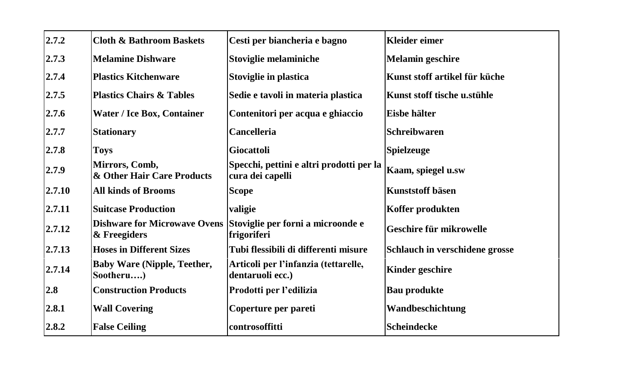| 2.7.2  | <b>Cloth &amp; Bathroom Baskets</b>                 | Cesti per biancheria e bagno                                 | <b>Kleider eimer</b>           |
|--------|-----------------------------------------------------|--------------------------------------------------------------|--------------------------------|
| 2.7.3  | <b>Melamine Dishware</b>                            | Stoviglie melaminiche                                        | <b>Melamin geschire</b>        |
| 2.7.4  | <b>Plastics Kitchenware</b>                         | Stoviglie in plastica                                        | Kunst stoff artikel für küche  |
| 2.7.5  | <b>Plastics Chairs &amp; Tables</b>                 | Sedie e tavoli in materia plastica                           | Kunst stoff tische u.stühle    |
| 2.7.6  | Water / Ice Box, Container                          | Contenitori per acqua e ghiaccio                             | Eisbe hälter                   |
| 2.7.7  | <b>Stationary</b>                                   | <b>Cancelleria</b>                                           | <b>Schreibwaren</b>            |
| 2.7.8  | <b>Toys</b>                                         | Giocattoli                                                   | <b>Spielzeuge</b>              |
| 2.7.9  | Mirrors, Comb,<br>& Other Hair Care Products        | Specchi, pettini e altri prodotti per la<br>cura dei capelli | Kaam, spiegel u.sw             |
| 2.7.10 | <b>All kinds of Brooms</b>                          | <b>Scope</b>                                                 | Kunststoff bäsen               |
| 2.7.11 | <b>Suitcase Production</b>                          | valigie                                                      | Koffer produkten               |
| 2.7.12 | <b>Dishware for Microwave Ovens</b><br>& Freegiders | Stoviglie per forni a microonde e<br>frigoriferi             | Geschire für mikrowelle        |
| 2.7.13 | <b>Hoses in Different Sizes</b>                     | Tubi flessibili di differenti misure                         | Schlauch in verschidene grosse |
| 2.7.14 | <b>Baby Ware (Nipple, Teether,</b><br>Sootheru)     | Articoli per l'infanzia (tettarelle,<br>dentaruoli ecc.)     | <b>Kinder geschire</b>         |
| 2.8    | <b>Construction Products</b>                        | Prodotti per l'edilizia                                      | <b>Bau produkte</b>            |
| 2.8.1  | <b>Wall Covering</b>                                | Coperture per pareti                                         | Wandbeschichtung               |
| 2.8.2  | <b>False Ceiling</b>                                | controsoffitti                                               | Scheindecke                    |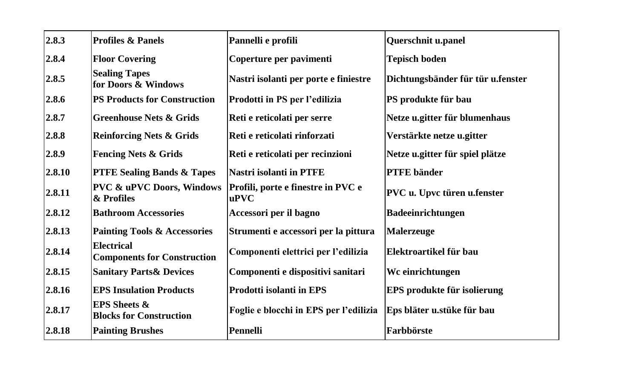| 2.8.3  | <b>Profiles &amp; Panels</b>                              | Pannelli e profili                               | Querschnit u.panel                 |
|--------|-----------------------------------------------------------|--------------------------------------------------|------------------------------------|
| 2.8.4  | <b>Floor Covering</b>                                     | Coperture per pavimenti                          | <b>Tepisch boden</b>               |
| 2.8.5  | <b>Sealing Tapes</b><br>for Doors & Windows               | Nastri isolanti per porte e finiestre            | Dichtungsbänder für tür u.fenster  |
| 2.8.6  | <b>PS Products for Construction</b>                       | Prodotti in PS per l'edilizia                    | PS produkte für bau                |
| 2.8.7  | <b>Greenhouse Nets &amp; Grids</b>                        | Reti e reticolati per serre                      | Netze u.gitter für blumenhaus      |
| 2.8.8  | <b>Reinforcing Nets &amp; Grids</b>                       | Reti e reticolati rinforzati                     | Verstärkte netze u.gitter          |
| 2.8.9  | <b>Fencing Nets &amp; Grids</b>                           | Reti e reticolati per recinzioni                 | Netze u.gitter für spiel plätze    |
| 2.8.10 | <b>PTFE Sealing Bands &amp; Tapes</b>                     | <b>Nastri isolanti in PTFE</b>                   | <b>PTFE</b> bänder                 |
| 2.8.11 | <b>PVC &amp; uPVC Doors, Windows</b><br>& Profiles        | Profili, porte e finestre in PVC e<br>$u$ PV $C$ | PVC u. Upvc türen u.fenster        |
| 2.8.12 | <b>Bathroom Accessories</b>                               | Accessori per il bagno                           | <b>Badeeinrichtungen</b>           |
| 2.8.13 | <b>Painting Tools &amp; Accessories</b>                   | Strumenti e accessori per la pittura             | Malerzeuge                         |
| 2.8.14 | Electrical<br><b>Components for Construction</b>          | Componenti elettrici per l'edilizia              | Elektroartikel für bau             |
| 2.8.15 | <b>Sanitary Parts &amp; Devices</b>                       | Componenti e dispositivi sanitari                | Wc einrichtungen                   |
| 2.8.16 | <b>EPS Insulation Products</b>                            | <b>Prodotti isolanti in EPS</b>                  | <b>EPS</b> produkte für isolierung |
| 2.8.17 | <b>EPS Sheets &amp;</b><br><b>Blocks for Construction</b> | Foglie e blocchi in EPS per l'edilizia           | Eps bläter u.stüke für bau         |
| 2.8.18 | <b>Painting Brushes</b>                                   | Pennelli                                         | Farbbörste                         |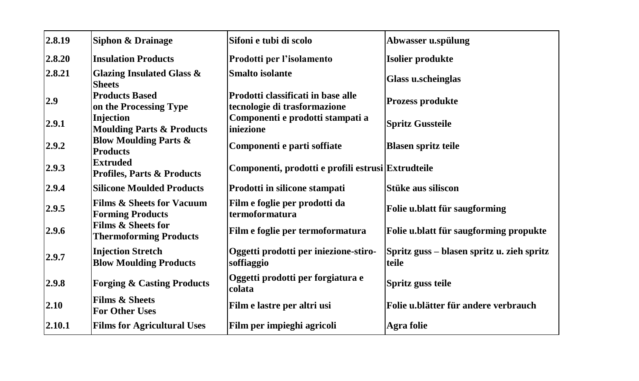| 2.8.19 | Siphon & Drainage                                               | Sifoni e tubi di scolo                                             | Abwasser u.spülung                                  |
|--------|-----------------------------------------------------------------|--------------------------------------------------------------------|-----------------------------------------------------|
| 2.8.20 | <b>Insulation Products</b>                                      | Prodotti per l'isolamento                                          | Isolier produkte                                    |
| 2.8.21 | Glazing Insulated Glass &<br><b>Sheets</b>                      | <b>Smalto</b> isolante                                             | <b>Glass u.scheinglas</b>                           |
| 2.9    | <b>Products Based</b><br>on the Processing Type                 | Prodotti classificati in base alle<br>tecnologie di trasformazione | <b>Prozess produkte</b>                             |
| 2.9.1  | <b>Injection</b><br><b>Moulding Parts &amp; Products</b>        | Componenti e prodotti stampati a<br>iniezione                      | <b>Spritz Gussteile</b>                             |
| 2.9.2  | <b>Blow Moulding Parts &amp;</b><br><b>Products</b>             | Componenti e parti soffiate                                        | <b>Blasen spritz teile</b>                          |
| 2.9.3  | <b>Extruded</b><br><b>Profiles, Parts &amp; Products</b>        | Componenti, prodotti e profili estrusi Extrudteile                 |                                                     |
| 2.9.4  | <b>Silicone Moulded Products</b>                                | Prodotti in silicone stampati                                      | Stüke aus siliscon                                  |
| 2.9.5  | <b>Films &amp; Sheets for Vacuum</b><br><b>Forming Products</b> | Film e foglie per prodotti da<br>termoformatura                    | Folie u.blatt für saugforming                       |
| 2.9.6  | Films & Sheets for<br><b>Thermoforming Products</b>             | Film e foglie per termoformatura                                   | Folie u.blatt für saugforming propukte              |
| 2.9.7  | <b>Injection Stretch</b><br><b>Blow Moulding Products</b>       | Oggetti prodotti per iniezione-stiro-<br>soffiaggio                | Spritz guss – blasen spritz u. zieh spritz<br>teile |
| 2.9.8  | <b>Forging &amp; Casting Products</b>                           | Oggetti prodotti per forgiatura e<br>colata                        | Spritz guss teile                                   |
| 2.10   | <b>Films &amp; Sheets</b><br><b>For Other Uses</b>              | Film e lastre per altri usi                                        | Folie u.blätter für andere verbrauch                |
| 2.10.1 | <b>Films for Agricultural Uses</b>                              | Film per impieghi agricoli                                         | Agra folie                                          |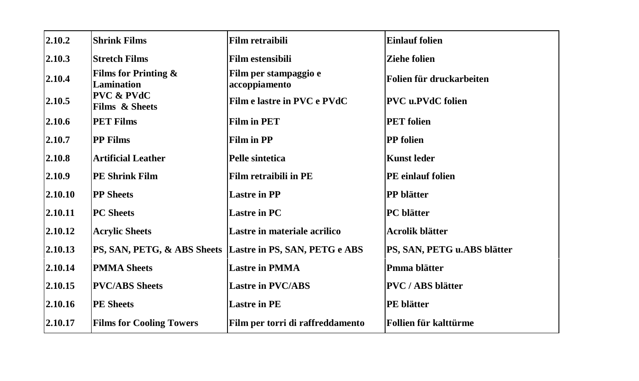| 2.10.2  | <b>Shrink Films</b>                     | Film retraibili                        | <b>Einlauf folien</b>       |
|---------|-----------------------------------------|----------------------------------------|-----------------------------|
| 2.10.3  | <b>Stretch Films</b>                    | <b>Film estensibili</b>                | <b>Ziehe folien</b>         |
| 2.10.4  | Films for Printing $\&$<br>Lamination   | Film per stampaggio e<br>accoppiamento | Folien für druckarbeiten    |
| 2.10.5  | <b>PVC &amp; PVdC</b><br>Films & Sheets | Film e lastre in PVC e PVdC            | <b>PVC</b> u.PVdC folien    |
| 2.10.6  | <b>PET Films</b>                        | <b>Film in PET</b>                     | <b>PET</b> folien           |
| 2.10.7  | <b>PP Films</b>                         | Film in PP                             | <b>PP</b> folien            |
| 2.10.8  | <b>Artificial Leather</b>               | Pelle sintetica                        | <b>Kunst leder</b>          |
| 2.10.9  | <b>PE Shrink Film</b>                   | Film retraibili in PE                  | PE einlauf folien           |
| 2.10.10 | <b>PP</b> Sheets                        | <b>Lastre in PP</b>                    | <b>PP</b> blätter           |
| 2.10.11 | <b>PC</b> Sheets                        | <b>Lastre in PC</b>                    | <b>PC</b> blätter           |
| 2.10.12 | <b>Acrylic Sheets</b>                   | Lastre in materiale acrilico           | Acrolik blätter             |
| 2.10.13 | PS, SAN, PETG, & ABS Sheets             | Lastre in PS, SAN, PETG e ABS          | PS, SAN, PETG u.ABS blätter |
| 2.10.14 | <b>PMMA Sheets</b>                      | <b>Lastre in PMMA</b>                  | Pmma blätter                |
| 2.10.15 | <b>PVC/ABS Sheets</b>                   | <b>Lastre in PVC/ABS</b>               | <b>PVC</b> / ABS blätter    |
| 2.10.16 | <b>PE Sheets</b>                        | <b>Lastre in PE</b>                    | PE blätter                  |
| 2.10.17 | <b>Films for Cooling Towers</b>         | Film per torri di raffreddamento       | Follien für kalttürme       |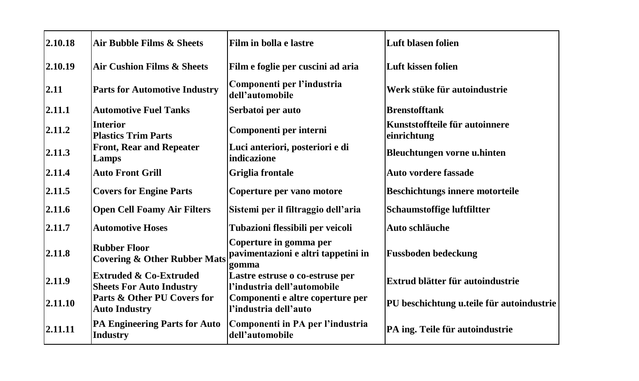| 2.10.18 | Air Bubble Films & Sheets                                            | Film in bolla e lastre                                                 | Luft blasen folien                            |
|---------|----------------------------------------------------------------------|------------------------------------------------------------------------|-----------------------------------------------|
| 2.10.19 | <b>Air Cushion Films &amp; Sheets</b>                                | Film e foglie per cuscini ad aria                                      | Luft kissen folien                            |
| 2.11    | <b>Parts for Automotive Industry</b>                                 | Componenti per l'industria<br>dell'automobile                          | Werk stüke für autoindustrie                  |
| 2.11.1  | <b>Automotive Fuel Tanks</b>                                         | Serbatoi per auto                                                      | <b>Brenstofftank</b>                          |
| 2.11.2  | <b>Interior</b><br><b>Plastics Trim Parts</b>                        | Componenti per interni                                                 | Kunststoffteile für autoinnere<br>einrichtung |
| 2.11.3  | <b>Front, Rear and Repeater</b><br>Lamps                             | Luci anteriori, posteriori e di<br>indicazione                         | Bleuchtungen vorne u.hinten                   |
| 2.11.4  | <b>Auto Front Grill</b>                                              | Griglia frontale                                                       | Auto vordere fassade                          |
| 2.11.5  | <b>Covers for Engine Parts</b>                                       | Coperture per vano motore                                              | <b>Beschichtungs innere motorteile</b>        |
| 2.11.6  | <b>Open Cell Foamy Air Filters</b>                                   | Sistemi per il filtraggio dell'aria                                    | Schaumstoffige luftfiltter                    |
| 2.11.7  | <b>Automotive Hoses</b>                                              | Tubazioni flessibili per veicoli                                       | Auto schläuche                                |
| 2.11.8  | <b>Rubber Floor</b><br><b>Covering &amp; Other Rubber Mats</b>       | Coperture in gomma per<br>pavimentazioni e altri tappetini in<br>gomma | <b>Fussboden bedeckung</b>                    |
| 2.11.9  | <b>Extruded &amp; Co-Extruded</b><br><b>Sheets For Auto Industry</b> | Lastre estruse o co-estruse per<br>l'industria dell'automobile         | Extrud blätter für autoindustrie              |
| 2.11.10 | Parts & Other PU Covers for<br><b>Auto Industry</b>                  | Componenti e altre coperture per<br>l'industria dell'auto              | PU beschichtung u.teile für autoindustrie     |
| 2.11.11 | <b>PA Engineering Parts for Auto</b><br><b>Industry</b>              | Componenti in PA per l'industria<br>dell'automobile                    | PA ing. Teile für autoindustrie               |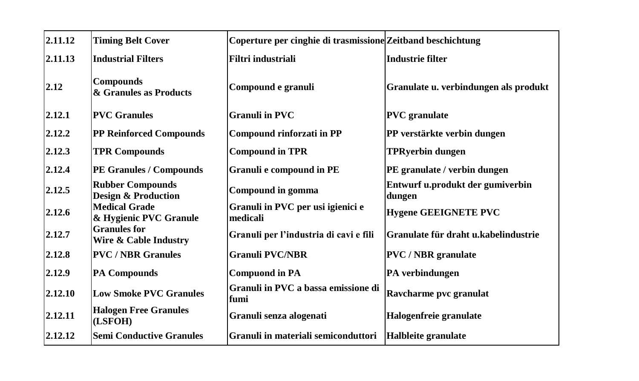| 2.11.12 | <b>Timing Belt Cover</b>                                  | Coperture per cinghie di trasmissione Zeitband beschichtung |                                            |
|---------|-----------------------------------------------------------|-------------------------------------------------------------|--------------------------------------------|
| 2.11.13 | <b>Industrial Filters</b>                                 | Filtri industriali                                          | Industrie filter                           |
| 2.12    | <b>Compounds</b><br>& Granules as Products                | Compound e granuli                                          | Granulate u. verbindungen als produkt      |
| 2.12.1  | <b>PVC</b> Granules                                       | <b>Granuli in PVC</b>                                       | <b>PVC</b> granulate                       |
| 2.12.2  | <b>PP Reinforced Compounds</b>                            | Compound rinforzati in PP                                   | PP verstärkte verbin dungen                |
| 2.12.3  | <b>TPR Compounds</b>                                      | <b>Compound in TPR</b>                                      | <b>TPRyerbin dungen</b>                    |
| 2.12.4  | <b>PE Granules / Compounds</b>                            | Granuli e compound in PE                                    | PE granulate / verbin dungen               |
| 2.12.5  | <b>Rubber Compounds</b><br><b>Design &amp; Production</b> | Compound in gomma                                           | Entwurf u.produkt der gumiverbin<br>dungen |
| 2.12.6  | <b>Medical Grade</b><br>& Hygienic PVC Granule            | Granuli in PVC per usi igienici e<br>medicali               | <b>Hygene GEEIGNETE PVC</b>                |
| 2.12.7  | <b>Granules</b> for<br>Wire & Cable Industry              | Granuli per l'industria di cavi e fili                      | Granulate für draht u.kabelindustrie       |
| 2.12.8  | <b>PVC / NBR Granules</b>                                 | <b>Granuli PVC/NBR</b>                                      | <b>PVC</b> / <b>NBR</b> granulate          |
| 2.12.9  | <b>PA Compounds</b>                                       | <b>Compuond in PA</b>                                       | PA verbindungen                            |
| 2.12.10 | <b>Low Smoke PVC Granules</b>                             | Granuli in PVC a bassa emissione di<br>fumi                 | Ravcharme pvc granulat                     |
| 2.12.11 | <b>Halogen Free Granules</b><br>(LSFOH)                   | Granuli senza alogenati                                     | Halogenfreie granulate                     |
| 2.12.12 | <b>Semi Conductive Granules</b>                           | Granuli in materiali semiconduttori                         | Halbleite granulate                        |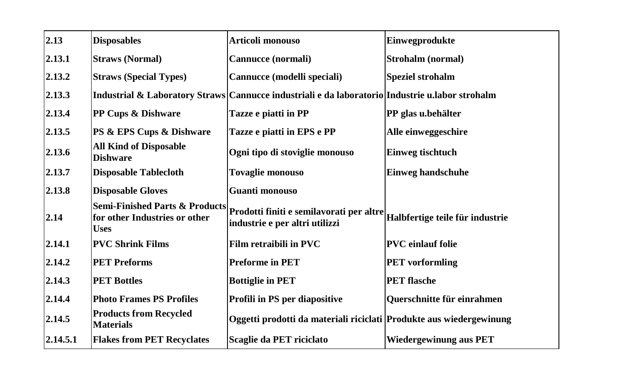| 2.13     | <b>Disposables</b>                                | Articoli monouso                                                                                                        | Einwegprodukte                  |
|----------|---------------------------------------------------|-------------------------------------------------------------------------------------------------------------------------|---------------------------------|
| 2.13.1   | <b>Straws (Normal)</b>                            | Cannucce (normali)                                                                                                      | <b>Strohalm (normal)</b>        |
| 2.13.2   | <b>Straws (Special Types)</b>                     | Cannucce (modelli speciali)                                                                                             | Speziel strohalm                |
| 2.13.3   |                                                   | Industrial & Laboratory Straws Cannucce industriali e da laboratorio Industrie u labor strohalm                         |                                 |
| 2.13.4   | <b>PP Cups &amp; Dishware</b>                     | Tazze e piatti in PP                                                                                                    | PP glas u.behälter              |
| 2.13.5   | <b>PS &amp; EPS Cups &amp; Dishware</b>           | Tazze e piatti in EPS e PP                                                                                              | Alle einweggeschire             |
| 2.13.6   | <b>All Kind of Disposable</b><br><b>Dishware</b>  | Ogni tipo di stoviglie monouso                                                                                          | Einweg tischtuch                |
| 2.13.7   | <b>Disposable Tablecloth</b>                      | <b>Tovaglie monouso</b>                                                                                                 | <b>Einweg handschuhe</b>        |
| 2.13.8   | <b>Disposable Gloves</b>                          | Guanti monouso                                                                                                          |                                 |
| 2.14     | for other Industries or other<br><b>Uses</b>      | Semi-Finished Parts & Products  p <sub>rodotti</sub> finiti e semilavorati per altre <br>industrie e per altri utilizzi | Halbfertige teile für industrie |
| 2.14.1   | <b>PVC Shrink Films</b>                           | Film retraibili in PVC                                                                                                  | <b>PVC</b> einlauf folie        |
| 2.14.2   | <b>PET Preforms</b>                               | <b>Preforme in PET</b>                                                                                                  | <b>PET</b> vorformling          |
| 2.14.3   | <b>PET Bottles</b>                                | <b>Bottiglie in PET</b>                                                                                                 | <b>PET</b> flasche              |
| 2.14.4   | <b>Photo Frames PS Profiles</b>                   | Profili in PS per diapositive                                                                                           | Querschnitte für einrahmen      |
| 2.14.5   | <b>Products from Recycled</b><br><b>Materials</b> | Oggetti prodotti da materiali riciclati Produkte aus wiedergewinung                                                     |                                 |
| 2.14.5.1 | <b>Flakes from PET Recyclates</b>                 | Scaglie da PET riciclato                                                                                                | <b>Wiedergewinung aus PET</b>   |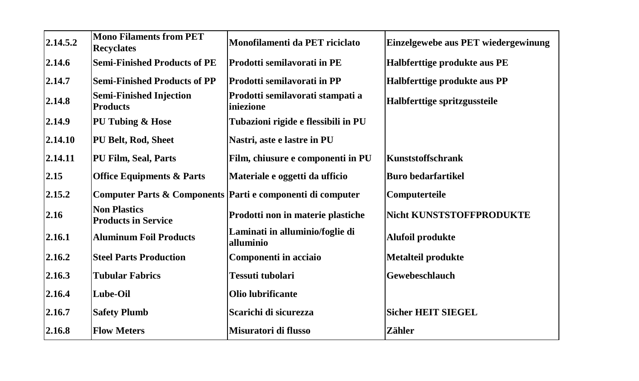| 2.14.5.2 | <b>Mono Filaments from PET</b><br><b>Recyclates</b> | Monofilamenti da PET riciclato                             | Einzelgewebe aus PET wiedergewinung |
|----------|-----------------------------------------------------|------------------------------------------------------------|-------------------------------------|
| 2.14.6   | <b>Semi-Finished Products of PE</b>                 | Prodotti semilavorati in PE                                | Halbferttige produkte aus PE        |
| 2.14.7   | <b>Semi-Finished Products of PP</b>                 | <b>Prodotti semilavorati in PP</b>                         | Halbferttige produkte aus PP        |
| 2.14.8   | <b>Semi-Finished Injection</b><br><b>Products</b>   | Prodotti semilavorati stampati a<br>liniezione             | Halbferttige spritzgussteile        |
| 2.14.9   | PU Tubing & Hose                                    | Tubazioni rigide e flessibili in PU                        |                                     |
| 2.14.10  | PU Belt, Rod, Sheet                                 | Nastri, aste e lastre in PU                                |                                     |
| 2.14.11  | PU Film, Seal, Parts                                | Film, chiusure e componenti in PU                          | Kunststoffschrank                   |
| 2.15     | <b>Office Equipments &amp; Parts</b>                | Materiale e oggetti da ufficio                             | <b>Buro bedarfartikel</b>           |
| 2.15.2   |                                                     | Computer Parts & Components Parti e componenti di computer | Computerteile                       |
| 2.16     | <b>Non Plastics</b><br><b>Products in Service</b>   | Prodotti non in materie plastiche                          | <b>Nicht KUNSTSTOFFPRODUKTE</b>     |
| 2.16.1   | <b>Aluminum Foil Products</b>                       | Laminati in alluminio/foglie di<br>alluminio               | Alufoil produkte                    |
| 2.16.2   | <b>Steel Parts Production</b>                       | Componenti in acciaio                                      | <b>Metalteil produkte</b>           |
| 2.16.3   | <b>Tubular Fabrics</b>                              | Tessuti tubolari                                           | Gewebeschlauch                      |
| 2.16.4   | Lube-Oil                                            | Olio lubrificante                                          |                                     |
| 2.16.7   | <b>Safety Plumb</b>                                 | Scarichi di sicurezza                                      | <b>Sicher HEIT SIEGEL</b>           |
| 2.16.8   | <b>Flow Meters</b>                                  | Misuratori di flusso                                       | Zähler                              |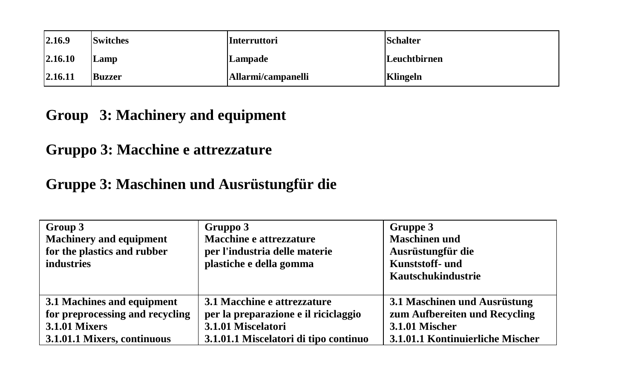| 2.16.9  | <b>Switches</b> | <b>Interruttori</b> | <b>Schalter</b> |
|---------|-----------------|---------------------|-----------------|
| 2.16.10 | Lamp            | Lampade             | Leuchtbirnen    |
| 2.16.11 | <b>Buzzer</b>   | Allarmi/campanelli  | Klingeln        |

# **Group 3: Machinery and equipment**

# **Gruppo 3: Macchine e attrezzature**

## **Gruppe 3: Maschinen und Ausrüstungfür die**

| Group 3<br><b>Machinery and equipment</b><br>for the plastics and rubber<br>industries | Gruppo 3<br>Macchine e attrezzature<br>per l'industria delle materie<br>plastiche e della gomma | Gruppe 3<br><b>Maschinen und</b><br>Ausrüstungfür die<br>Kunststoff- und<br>Kautschukindustrie |
|----------------------------------------------------------------------------------------|-------------------------------------------------------------------------------------------------|------------------------------------------------------------------------------------------------|
| 3.1 Machines and equipment                                                             | 3.1 Macchine e attrezzature                                                                     | 3.1 Maschinen und Ausrüstung                                                                   |
| for preprocessing and recycling                                                        | per la preparazione e il riciclaggio                                                            | zum Aufbereiten und Recycling                                                                  |
| <b>3.1.01 Mixers</b>                                                                   | 3.1.01 Miscelatori                                                                              | <b>3.1.01 Mischer</b>                                                                          |
| 3.1.01.1 Mixers, continuous                                                            | 3.1.01.1 Miscelatori di tipo continuo                                                           | 3.1.01.1 Kontinuierliche Mischer                                                               |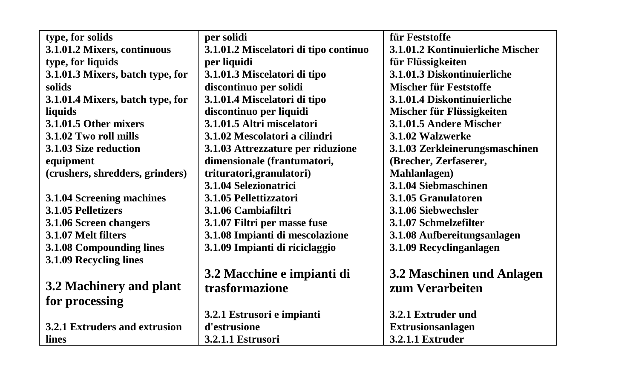| type, for solids                 | per solidi                            | für Feststoffe                   |
|----------------------------------|---------------------------------------|----------------------------------|
| 3.1.01.2 Mixers, continuous      | 3.1.01.2 Miscelatori di tipo continuo | 3.1.01.2 Kontinuierliche Mischer |
| type, for liquids                | per liquidi                           | für Flüssigkeiten                |
| 3.1.01.3 Mixers, batch type, for | 3.1.01.3 Miscelatori di tipo          | 3.1.01.3 Diskontinuierliche      |
| solids                           | discontinuo per solidi                | Mischer für Feststoffe           |
| 3.1.01.4 Mixers, batch type, for | 3.1.01.4 Miscelatori di tipo          | 3.1.01.4 Diskontinuierliche      |
| liquids                          | discontinuo per liquidi               | Mischer für Flüssigkeiten        |
| 3.1.01.5 Other mixers            | 3.1.01.5 Altri miscelatori            | 3.1.01.5 Andere Mischer          |
| 3.1.02 Two roll mills            | 3.1.02 Mescolatori a cilindri         | 3.1.02 Walzwerke                 |
| 3.1.03 Size reduction            | 3.1.03 Attrezzature per riduzione     | 3.1.03 Zerkleinerungsmaschinen   |
| equipment                        | dimensionale (frantumatori,           | (Brecher, Zerfaserer,            |
| (crushers, shredders, grinders)  | trituratori, granulatori)             | Mahlanlagen)                     |
|                                  | 3.1.04 Selezionatrici                 | 3.1.04 Siebmaschinen             |
| 3.1.04 Screening machines        | 3.1.05 Pellettizzatori                | 3.1.05 Granulatoren              |
| 3.1.05 Pelletizers               | 3.1.06 Cambiafiltri                   | 3.1.06 Siebwechsler              |
| 3.1.06 Screen changers           | 3.1.07 Filtri per masse fuse          | 3.1.07 Schmelzefilter            |
| 3.1.07 Melt filters              | 3.1.08 Impianti di mescolazione       | 3.1.08 Aufbereitungsanlagen      |
| 3.1.08 Compounding lines         | 3.1.09 Impianti di riciclaggio        | 3.1.09 Recyclinganlagen          |
| 3.1.09 Recycling lines           |                                       |                                  |
|                                  | 3.2 Macchine e impianti di            | 3.2 Maschinen und Anlagen        |
| 3.2 Machinery and plant          | trasformazione                        | zum Verarbeiten                  |
| for processing                   |                                       |                                  |
|                                  | 3.2.1 Estrusori e impianti            | 3.2.1 Extruder und               |
| 3.2.1 Extruders and extrusion    | d'estrusione                          | <b>Extrusionsanlagen</b>         |
| lines                            | 3.2.1.1 Estrusori                     | 3.2.1.1 Extruder                 |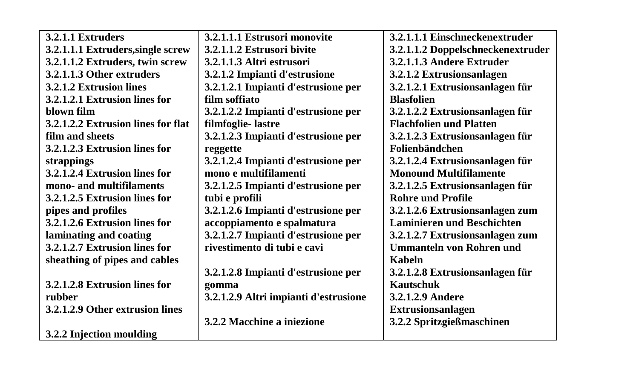| 3.2.1.1 Extruders                  | 3.2.1.1.1 Estrusori monovite          | 3.2.1.1.1 Einschneckenextruder    |
|------------------------------------|---------------------------------------|-----------------------------------|
| 3.2.1.1.1 Extruders, single screw  | 3.2.1.1.2 Estrusori bivite            | 3.2.1.1.2 Doppelschneckenextruder |
| 3.2.1.1.2 Extruders, twin screw    | 3.2.1.1.3 Altri estrusori             | 3.2.1.1.3 Andere Extruder         |
| 3.2.1.1.3 Other extruders          | 3.2.1.2 Impianti d'estrusione         | 3.2.1.2 Extrusionsanlagen         |
| 3.2.1.2 Extrusion lines            | 3.2.1.2.1 Impianti d'estrusione per   | 3.2.1.2.1 Extrusionsanlagen für   |
| 3.2.1.2.1 Extrusion lines for      | film soffiato                         | <b>Blasfolien</b>                 |
| blown film                         | 3.2.1.2.2 Impianti d'estrusione per   | 3.2.1.2.2 Extrusionsanlagen für   |
| 3.2.1.2.2 Extrusion lines for flat | filmfoglie-lastre                     | <b>Flachfolien und Platten</b>    |
| film and sheets                    | 3.2.1.2.3 Impianti d'estrusione per   | 3.2.1.2.3 Extrusionsanlagen für   |
| 3.2.1.2.3 Extrusion lines for      | reggette                              | Folienbändchen                    |
| strappings                         | 3.2.1.2.4 Impianti d'estrusione per   | 3.2.1.2.4 Extrusionsanlagen für   |
| 3.2.1.2.4 Extrusion lines for      | mono e multifilamenti                 | <b>Monound Multifilamente</b>     |
| mono- and multifilaments           | 3.2.1.2.5 Impianti d'estrusione per   | 3.2.1.2.5 Extrusionsanlagen für   |
| 3.2.1.2.5 Extrusion lines for      | tubi e profili                        | <b>Rohre und Profile</b>          |
| pipes and profiles                 | 3.2.1.2.6 Impianti d'estrusione per   | 3.2.1.2.6 Extrusionsanlagen zum   |
| 3.2.1.2.6 Extrusion lines for      | accoppiamento e spalmatura            | <b>Laminieren und Beschichten</b> |
| laminating and coating             | 3.2.1.2.7 Impianti d'estrusione per   | 3.2.1.2.7 Extrusionsanlagen zum   |
| 3.2.1.2.7 Extrusion lines for      | rivestimento di tubi e cavi           | <b>Ummanteln von Rohren und</b>   |
| sheathing of pipes and cables      |                                       | Kabeln                            |
|                                    | 3.2.1.2.8 Impianti d'estrusione per   | 3.2.1.2.8 Extrusionsanlagen für   |
| 3.2.1.2.8 Extrusion lines for      | gomma                                 | Kautschuk                         |
| rubber                             | 3.2.1.2.9 Altri impianti d'estrusione | 3.2.1.2.9 Andere                  |
| 3.2.1.2.9 Other extrusion lines    |                                       | <b>Extrusionsanlagen</b>          |
|                                    | 3.2.2 Macchine a iniezione            | 3.2.2 Spritzgießmaschinen         |
| 3.2.2 Injection moulding           |                                       |                                   |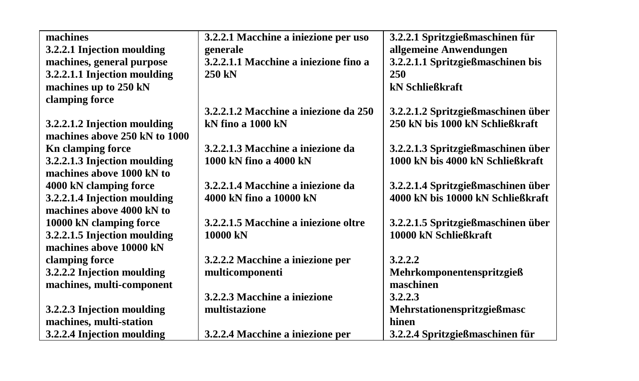| machines                      | 3.2.2.1 Macchine a iniezione per uso  | 3.2.2.1 Spritzgießmaschinen für    |
|-------------------------------|---------------------------------------|------------------------------------|
| 3.2.2.1 Injection moulding    | generale                              | allgemeine Anwendungen             |
| machines, general purpose     | 3.2.2.1.1 Macchine a iniezione fino a | 3.2.2.1.1 Spritzgießmaschinen bis  |
| 3.2.2.1.1 Injection moulding  | 250 kN                                | 250                                |
| machines up to 250 kN         |                                       | kN Schließkraft                    |
| clamping force                |                                       |                                    |
|                               | 3.2.2.1.2 Macchine a iniezione da 250 | 3.2.2.1.2 Spritzgießmaschinen über |
| 3.2.2.1.2 Injection moulding  | kN fino a 1000 kN                     | 250 kN bis 1000 kN Schließkraft    |
| machines above 250 kN to 1000 |                                       |                                    |
| <b>Kn</b> clamping force      | 3.2.2.1.3 Macchine a iniezione da     | 3.2.2.1.3 Spritzgießmaschinen über |
| 3.2.2.1.3 Injection moulding  | 1000 kN fino a 4000 kN                | 1000 kN bis 4000 kN Schließkraft   |
| machines above 1000 kN to     |                                       |                                    |
| 4000 kN clamping force        | 3.2.2.1.4 Macchine a iniezione da     | 3.2.2.1.4 Spritzgießmaschinen über |
| 3.2.2.1.4 Injection moulding  | 4000 kN fino a 10000 kN               | 4000 kN bis 10000 kN Schließkraft  |
| machines above 4000 kN to     |                                       |                                    |
| 10000 kN clamping force       | 3.2.2.1.5 Macchine a iniezione oltre  | 3.2.2.1.5 Spritzgießmaschinen über |
| 3.2.2.1.5 Injection moulding  | 10000 kN                              | 10000 kN Schließkraft              |
| machines above 10000 kN       |                                       |                                    |
| clamping force                | 3.2.2.2 Macchine a iniezione per      | 3.2.2.2                            |
| 3.2.2.2 Injection moulding    | multicomponenti                       | Mehrkomponentenspritzgieß          |
| machines, multi-component     |                                       | maschinen                          |
|                               | 3.2.2.3 Macchine a iniezione          | 3.2.2.3                            |
| 3.2.2.3 Injection moulding    | multistazione                         | Mehrstationenspritzgießmasc        |
| machines, multi-station       |                                       | hinen                              |
| 3.2.2.4 Injection moulding    | 3.2.2.4 Macchine a iniezione per      | 3.2.2.4 Spritzgießmaschinen für    |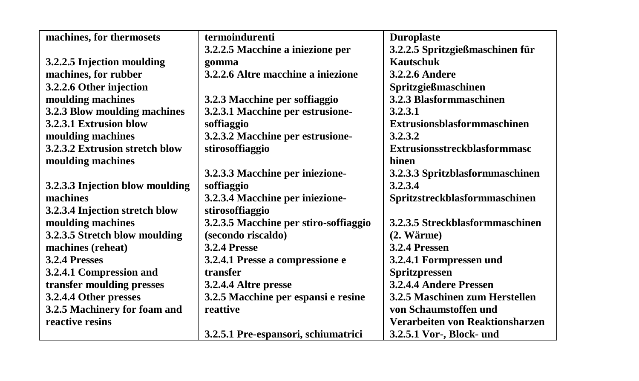| machines, for thermosets        | termoindurenti                        | <b>Duroplaste</b>                   |
|---------------------------------|---------------------------------------|-------------------------------------|
|                                 | 3.2.2.5 Macchine a iniezione per      | 3.2.2.5 Spritzgießmaschinen für     |
| 3.2.2.5 Injection moulding      | gomma                                 | Kautschuk                           |
| machines, for rubber            | 3.2.2.6 Altre macchine a iniezione    | <b>3.2.2.6 Andere</b>               |
| 3.2.2.6 Other injection         |                                       | Spritzgießmaschinen                 |
| moulding machines               | 3.2.3 Macchine per soffiaggio         | 3.2.3 Blasformmaschinen             |
| 3.2.3 Blow moulding machines    | 3.2.3.1 Macchine per estrusione-      | 3.2.3.1                             |
| 3.2.3.1 Extrusion blow          | soffiaggio                            | Extrusionsblasformmaschinen         |
| moulding machines               | 3.2.3.2 Macchine per estrusione-      | 3.2.3.2                             |
| 3.2.3.2 Extrusion stretch blow  | stirosoffiaggio                       | <b>Extrusionsstreckblasformmasc</b> |
| moulding machines               |                                       | hinen                               |
|                                 | 3.2.3.3 Macchine per iniezione-       | 3.2.3.3 Spritzblasformmaschinen     |
| 3.2.3.3 Injection blow moulding | soffiaggio                            | 3.2.3.4                             |
| machines                        | 3.2.3.4 Macchine per iniezione-       | Spritzstreckblasformmaschinen       |
| 3.2.3.4 Injection stretch blow  | stirosoffiaggio                       |                                     |
| moulding machines               | 3.2.3.5 Macchine per stiro-soffiaggio | 3.2.3.5 Streckblasformmaschinen     |
| 3.2.3.5 Stretch blow moulding   | (secondo riscaldo)                    | $(2. W \text{arme})$                |
| machines (reheat)               | <b>3.2.4 Presse</b>                   | 3.2.4 Pressen                       |
| 3.2.4 Presses                   | 3.2.4.1 Presse a compressione e       | 3.2.4.1 Formpressen und             |
| 3.2.4.1 Compression and         | transfer                              | Spritzpressen                       |
| transfer moulding presses       | 3.2.4.4 Altre presse                  | 3.2.4.4 Andere Pressen              |
| 3.2.4.4 Other presses           | 3.2.5 Macchine per espansi e resine   | 3.2.5 Maschinen zum Herstellen      |
| 3.2.5 Machinery for foam and    | reattive                              | von Schaumstoffen und               |
| reactive resins                 |                                       | Verarbeiten von Reaktionsharzen     |
|                                 | 3.2.5.1 Pre-espansori, schiumatrici   | 3.2.5.1 Vor-, Block- und            |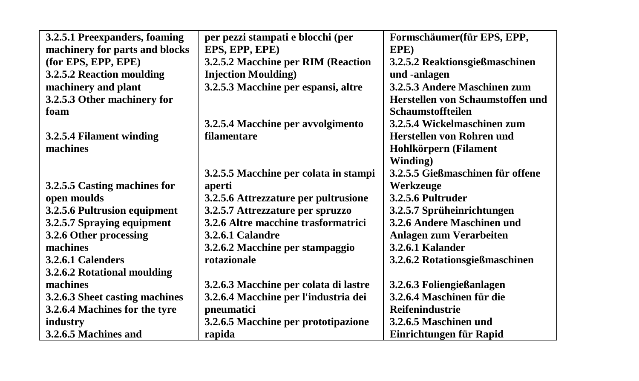| 3.2.5.1 Preexpanders, foaming  | per pezzi stampati e blocchi (per     | Formschäumer(für EPS, EPP,       |
|--------------------------------|---------------------------------------|----------------------------------|
| machinery for parts and blocks | EPS, EPP, EPE)                        | EPE)                             |
| (for EPS, EPP, EPE)            | 3.2.5.2 Macchine per RIM (Reaction    | 3.2.5.2 Reaktionsgießmaschinen   |
| 3.2.5.2 Reaction moulding      | <b>Injection Moulding</b> )           | und -anlagen                     |
| machinery and plant            | 3.2.5.3 Macchine per espansi, altre   | 3.2.5.3 Andere Maschinen zum     |
| 3.2.5.3 Other machinery for    |                                       | Herstellen von Schaumstoffen und |
| foam                           |                                       | <b>Schaumstoffteilen</b>         |
|                                | 3.2.5.4 Macchine per avvolgimento     | 3.2.5.4 Wickelmaschinen zum      |
| 3.2.5.4 Filament winding       | filamentare                           | Herstellen von Rohren und        |
| machines                       |                                       | Hohlkörpern (Filament            |
|                                |                                       | Winding)                         |
|                                | 3.2.5.5 Macchine per colata in stampi | 3.2.5.5 Gießmaschinen für offene |
| 3.2.5.5 Casting machines for   | aperti                                | Werkzeuge                        |
| open moulds                    | 3.2.5.6 Attrezzature per pultrusione  | 3.2.5.6 Pultruder                |
| 3.2.5.6 Pultrusion equipment   | 3.2.5.7 Attrezzature per spruzzo      | 3.2.5.7 Sprüheinrichtungen       |
| 3.2.5.7 Spraying equipment     | 3.2.6 Altre macchine trasformatrici   | 3.2.6 Andere Maschinen und       |
| 3.2.6 Other processing         | 3.2.6.1 Calandre                      | Anlagen zum Verarbeiten          |
| machines                       | 3.2.6.2 Macchine per stampaggio       | 3.2.6.1 Kalander                 |
| 3.2.6.1 Calenders              | rotazionale                           | 3.2.6.2 Rotationsgießmaschinen   |
| 3.2.6.2 Rotational moulding    |                                       |                                  |
| machines                       | 3.2.6.3 Macchine per colata di lastre | 3.2.6.3 Foliengießanlagen        |
| 3.2.6.3 Sheet casting machines | 3.2.6.4 Macchine per l'industria dei  | 3.2.6.4 Maschinen für die        |
| 3.2.6.4 Machines for the tyre  | pneumatici                            | <b>Reifenindustrie</b>           |
| industry                       | 3.2.6.5 Macchine per prototipazione   | 3.2.6.5 Maschinen und            |
| 3.2.6.5 Machines and           | rapida                                | Einrichtungen für Rapid          |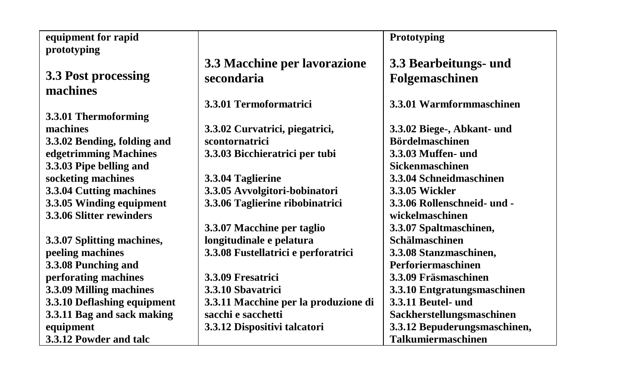| equipment for rapid         |                                      | Prototyping                  |
|-----------------------------|--------------------------------------|------------------------------|
| prototyping                 |                                      |                              |
|                             | 3.3 Macchine per lavorazione         | 3.3 Bearbeitungs- und        |
|                             |                                      |                              |
| 3.3 Post processing         | secondaria                           | Folgemaschinen               |
| machines                    |                                      |                              |
|                             | 3.3.01 Termoformatrici               | 3.3.01 Warmformmaschinen     |
| 3.3.01 Thermoforming        |                                      |                              |
| machines                    | 3.3.02 Curvatrici, piegatrici,       | 3.3.02 Biege-, Abkant- und   |
| 3.3.02 Bending, folding and | scontornatrici                       | <b>Bördelmaschinen</b>       |
| edgetrimming Machines       | 3.3.03 Bicchieratrici per tubi       | 3.3.03 Muffen- und           |
| 3.3.03 Pipe belling and     |                                      | <b>Sickenmaschinen</b>       |
| socketing machines          | 3.3.04 Taglierine                    | 3.3.04 Schneidmaschinen      |
| 3.3.04 Cutting machines     | 3.3.05 Avvolgitori-bobinatori        | 3.3.05 Wickler               |
| 3.3.05 Winding equipment    | 3.3.06 Taglierine ribobinatrici      | 3.3.06 Rollenschneid- und -  |
| 3.3.06 Slitter rewinders    |                                      | wickelmaschinen              |
|                             | 3.3.07 Macchine per taglio           | 3.3.07 Spaltmaschinen,       |
| 3.3.07 Splitting machines,  | longitudinale e pelatura             | Schälmaschinen               |
| peeling machines            | 3.3.08 Fustellatrici e perforatrici  | 3.3.08 Stanzmaschinen,       |
| 3.3.08 Punching and         |                                      | Perforiermaschinen           |
| perforating machines        | 3.3.09 Fresatrici                    | 3.3.09 Fräsmaschinen         |
| 3.3.09 Milling machines     | 3.3.10 Sbavatrici                    | 3.3.10 Entgratungsmaschinen  |
| 3.3.10 Deflashing equipment | 3.3.11 Macchine per la produzione di | 3.3.11 Beutel- und           |
| 3.3.11 Bag and sack making  | sacchi e sacchetti                   | Sackherstellungsmaschinen    |
| equipment                   | 3.3.12 Dispositivi talcatori         | 3.3.12 Bepuderungsmaschinen, |
| 3.3.12 Powder and talc      |                                      | <b>Talkumiermaschinen</b>    |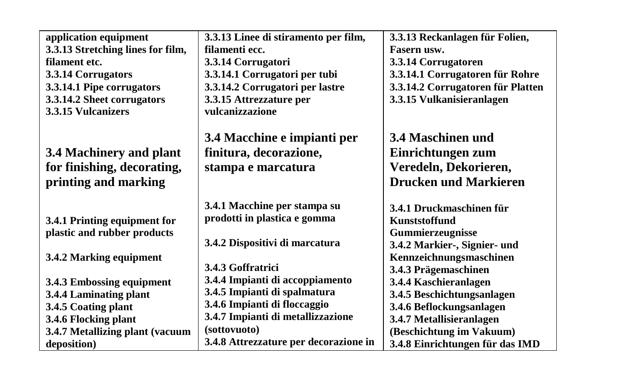| application equipment             | 3.3.13 Linee di stiramento per film,  | 3.3.13 Reckanlagen für Folien,    |
|-----------------------------------|---------------------------------------|-----------------------------------|
| 3.3.13 Stretching lines for film, | filamenti ecc.                        | Fasern usw.                       |
| filament etc.                     | 3.3.14 Corrugatori                    | 3.3.14 Corrugatoren               |
| 3.3.14 Corrugators                | 3.3.14.1 Corrugatori per tubi         | 3.3.14.1 Corrugatoren für Rohre   |
| 3.3.14.1 Pipe corrugators         | 3.3.14.2 Corrugatori per lastre       | 3.3.14.2 Corrugatoren für Platten |
| 3.3.14.2 Sheet corrugators        | 3.3.15 Attrezzature per               | 3.3.15 Vulkanisieranlagen         |
| 3.3.15 Vulcanizers                | vulcanizzazione                       |                                   |
|                                   |                                       |                                   |
|                                   | 3.4 Macchine e impianti per           | 3.4 Maschinen und                 |
| 3.4 Machinery and plant           | finitura, decorazione,                | Einrichtungen zum                 |
| for finishing, decorating,        | stampa e marcatura                    | Veredeln, Dekorieren,             |
| printing and marking              |                                       | <b>Drucken und Markieren</b>      |
|                                   |                                       |                                   |
|                                   | 3.4.1 Macchine per stampa su          | 3.4.1 Druckmaschinen für          |
| 3.4.1 Printing equipment for      | prodotti in plastica e gomma          | Kunststoffund                     |
| plastic and rubber products       |                                       | Gummierzeugnisse                  |
|                                   | 3.4.2 Dispositivi di marcatura        | 3.4.2 Markier-, Signier- und      |
| 3.4.2 Marking equipment           |                                       | Kennzeichnungsmaschinen           |
|                                   | 3.4.3 Goffratrici                     | 3.4.3 Prägemaschinen              |
| 3.4.3 Embossing equipment         | 3.4.4 Impianti di accoppiamento       | 3.4.4 Kaschieranlagen             |
| 3.4.4 Laminating plant            | 3.4.5 Impianti di spalmatura          | 3.4.5 Beschichtungsanlagen        |
| 3.4.5 Coating plant               | 3.4.6 Impianti di floccaggio          | 3.4.6 Beflockungsanlagen          |
| 3.4.6 Flocking plant              | 3.4.7 Impianti di metallizzazione     | 3.4.7 Metallisieranlagen          |
| 3.4.7 Metallizing plant (vacuum   | (sottovuoto)                          | (Beschichtung im Vakuum)          |
| deposition)                       | 3.4.8 Attrezzature per decorazione in | 3.4.8 Einrichtungen für das IMD   |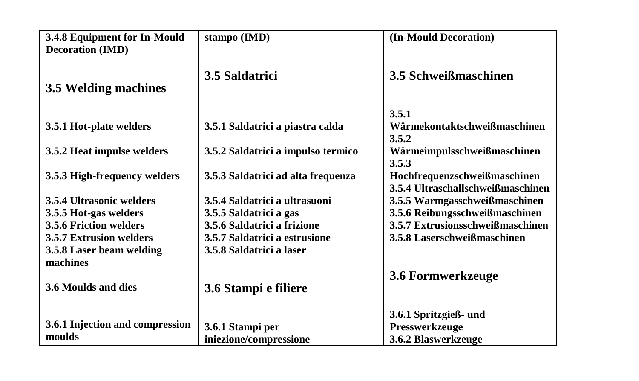| 3.4.8 Equipment for In-Mould    | stampo (IMD)                       | (In-Mould Decoration)             |
|---------------------------------|------------------------------------|-----------------------------------|
| <b>Decoration (IMD)</b>         |                                    |                                   |
|                                 | 3.5 Saldatrici                     | 3.5 Schweißmaschinen              |
| 3.5 Welding machines            |                                    |                                   |
|                                 |                                    |                                   |
|                                 |                                    | 3.5.1                             |
| 3.5.1 Hot-plate welders         | 3.5.1 Saldatrici a piastra calda   | Wärmekontaktschweißmaschinen      |
|                                 |                                    | 3.5.2                             |
| 3.5.2 Heat impulse welders      | 3.5.2 Saldatrici a impulso termico | Wärmeimpulsschweißmaschinen       |
|                                 |                                    | 3.5.3                             |
| 3.5.3 High-frequency welders    | 3.5.3 Saldatrici ad alta frequenza | Hochfrequenzschweißmaschinen      |
|                                 |                                    | 3.5.4 Ultraschallschweißmaschinen |
| 3.5.4 Ultrasonic welders        | 3.5.4 Saldatrici a ultrasuoni      | 3.5.5 Warmgasschweißmaschinen     |
| 3.5.5 Hot-gas welders           | 3.5.5 Saldatrici a gas             | 3.5.6 Reibungsschweißmaschinen    |
| <b>3.5.6 Friction welders</b>   | 3.5.6 Saldatrici a frizione        | 3.5.7 Extrusionsschweißmaschinen  |
| <b>3.5.7 Extrusion welders</b>  | 3.5.7 Saldatrici a estrusione      | 3.5.8 Laserschweißmaschinen       |
| 3.5.8 Laser beam welding        | 3.5.8 Saldatrici a laser           |                                   |
| machines                        |                                    |                                   |
|                                 |                                    | 3.6 Formwerkzeuge                 |
| 3.6 Moulds and dies             | 3.6 Stampi e filiere               |                                   |
|                                 |                                    |                                   |
|                                 |                                    | 3.6.1 Spritzgieß- und             |
| 3.6.1 Injection and compression | 3.6.1 Stampi per                   | Presswerkzeuge                    |
| moulds                          | iniezione/compressione             | 3.6.2 Blaswerkzeuge               |
|                                 |                                    |                                   |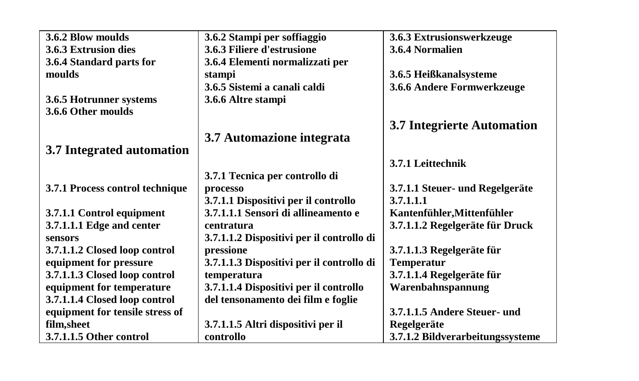| 3.6.2 Blow moulds               | 3.6.2 Stampi per soffiaggio               | 3.6.3 Extrusionswerkzeuge         |
|---------------------------------|-------------------------------------------|-----------------------------------|
| 3.6.3 Extrusion dies            | 3.6.3 Filiere d'estrusione                | 3.6.4 Normalien                   |
| 3.6.4 Standard parts for        | 3.6.4 Elementi normalizzati per           |                                   |
| moulds                          | stampi                                    | 3.6.5 Heißkanalsysteme            |
|                                 | 3.6.5 Sistemi a canali caldi              | 3.6.6 Andere Formwerkzeuge        |
| 3.6.5 Hotrunner systems         | 3.6.6 Altre stampi                        |                                   |
| 3.6.6 Other moulds              |                                           |                                   |
|                                 |                                           | <b>3.7 Integrierte Automation</b> |
|                                 | 3.7 Automazione integrata                 |                                   |
| 3.7 Integrated automation       |                                           |                                   |
|                                 |                                           | 3.7.1 Leittechnik                 |
|                                 | 3.7.1 Tecnica per controllo di            |                                   |
| 3.7.1 Process control technique | processo                                  | 3.7.1.1 Steuer- und Regelgeräte   |
|                                 | 3.7.1.1 Dispositivi per il controllo      | 3.7.1.1.1                         |
| 3.7.1.1 Control equipment       | 3.7.1.1.1 Sensori di allineamento e       | Kantenfühler, Mittenfühler        |
| 3.7.1.1.1 Edge and center       | centratura                                | 3.7.1.1.2 Regelgeräte für Druck   |
| sensors                         | 3.7.1.1.2 Dispositivi per il controllo di |                                   |
| 3.7.1.1.2 Closed loop control   | pressione                                 | 3.7.1.1.3 Regelgeräte für         |
| equipment for pressure          | 3.7.1.1.3 Dispositivi per il controllo di | <b>Temperatur</b>                 |
| 3.7.1.1.3 Closed loop control   | temperatura                               | 3.7.1.1.4 Regelgeräte für         |
| equipment for temperature       | 3.7.1.1.4 Dispositivi per il controllo    | Warenbahnspannung                 |
| 3.7.1.1.4 Closed loop control   | del tensonamento dei film e foglie        |                                   |
| equipment for tensile stress of |                                           | 3.7.1.1.5 Andere Steuer- und      |
| film, sheet                     | 3.7.1.1.5 Altri dispositivi per il        | Regelgeräte                       |
| 3.7.1.1.5 Other control         | controllo                                 | 3.7.1.2 Bildverarbeitungssysteme  |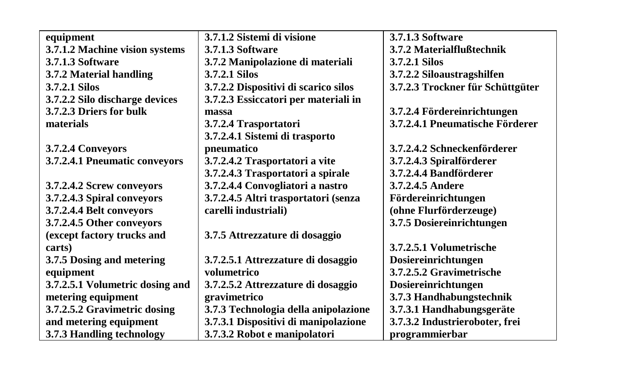| equipment                       | 3.7.1.2 Sistemi di visione           | <b>3.7.1.3 Software</b>          |
|---------------------------------|--------------------------------------|----------------------------------|
| 3.7.1.2 Machine vision systems  | <b>3.7.1.3 Software</b>              | 3.7.2 Materialflußtechnik        |
| 3.7.1.3 Software                | 3.7.2 Manipolazione di materiali     | 3.7.2.1 Silos                    |
| 3.7.2 Material handling         | 3.7.2.1 Silos                        | 3.7.2.2 Siloaustragshilfen       |
| 3.7.2.1 Silos                   | 3.7.2.2 Dispositivi di scarico silos | 3.7.2.3 Trockner für Schüttgüter |
| 3.7.2.2 Silo discharge devices  | 3.7.2.3 Essiccatori per materiali in |                                  |
| 3.7.2.3 Driers for bulk         | massa                                | 3.7.2.4 Fördereinrichtungen      |
| materials                       | 3.7.2.4 Trasportatori                | 3.7.2.4.1 Pneumatische Förderer  |
|                                 | 3.7.2.4.1 Sistemi di trasporto       |                                  |
| 3.7.2.4 Conveyors               | pneumatico                           | 3.7.2.4.2 Schneckenförderer      |
| 3.7.2.4.1 Pneumatic conveyors   | 3.7.2.4.2 Trasportatori a vite       | 3.7.2.4.3 Spiralförderer         |
|                                 | 3.7.2.4.3 Trasportatori a spirale    | 3.7.2.4.4 Bandförderer           |
| 3.7.2.4.2 Screw conveyors       | 3.7.2.4.4 Convogliatori a nastro     | 3.7.2.4.5 Andere                 |
| 3.7.2.4.3 Spiral conveyors      | 3.7.2.4.5 Altri trasportatori (senza | Fördereinrichtungen              |
| 3.7.2.4.4 Belt conveyors        | carelli industriali)                 | (ohne Flurförderzeuge)           |
| 3.7.2.4.5 Other conveyors       |                                      | 3.7.5 Dosiereinrichtungen        |
| (except factory trucks and      | 3.7.5 Attrezzature di dosaggio       |                                  |
| carts)                          |                                      | 3.7.2.5.1 Volumetrische          |
| 3.7.5 Dosing and metering       | 3.7.2.5.1 Attrezzature di dosaggio   | Dosiereinrichtungen              |
| equipment                       | volumetrico                          | 3.7.2.5.2 Gravimetrische         |
| 3.7.2.5.1 Volumetric dosing and | 3.7.2.5.2 Attrezzature di dosaggio   | Dosiereinrichtungen              |
| metering equipment              | gravimetrico                         | 3.7.3 Handhabungstechnik         |
| 3.7.2.5.2 Gravimetric dosing    | 3.7.3 Technologia della anipolazione | 3.7.3.1 Handhabungsgeräte        |
| and metering equipment          | 3.7.3.1 Dispositivi di manipolazione | 3.7.3.2 Industrieroboter, frei   |
| 3.7.3 Handling technology       | 3.7.3.2 Robot e manipolatori         | programmierbar                   |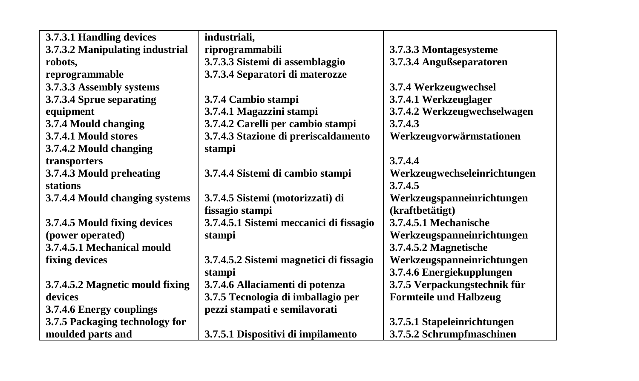| 3.7.3.1 Handling devices        | industriali,                            |                               |
|---------------------------------|-----------------------------------------|-------------------------------|
| 3.7.3.2 Manipulating industrial | riprogrammabili                         | 3.7.3.3 Montagesysteme        |
| robots,                         | 3.7.3.3 Sistemi di assemblaggio         | 3.7.3.4 Angußseparatoren      |
| reprogrammable                  | 3.7.3.4 Separatori di materozze         |                               |
| 3.7.3.3 Assembly systems        |                                         | 3.7.4 Werkzeugwechsel         |
| 3.7.3.4 Sprue separating        | 3.7.4 Cambio stampi                     | 3.7.4.1 Werkzeuglager         |
| equipment                       | 3.7.4.1 Magazzini stampi                | 3.7.4.2 Werkzeugwechselwagen  |
| 3.7.4 Mould changing            | 3.7.4.2 Carelli per cambio stampi       | 3.7.4.3                       |
| 3.7.4.1 Mould stores            | 3.7.4.3 Stazione di preriscaldamento    | Werkzeugvorwärmstationen      |
| 3.7.4.2 Mould changing          | stampi                                  |                               |
| transporters                    |                                         | 3.7.4.4                       |
| 3.7.4.3 Mould preheating        | 3.7.4.4 Sistemi di cambio stampi        | Werkzeugwechseleinrichtungen  |
| stations                        |                                         | 3.7.4.5                       |
| 3.7.4.4 Mould changing systems  | 3.7.4.5 Sistemi (motorizzati) di        | Werkzeugspanneinrichtungen    |
|                                 | fissagio stampi                         | (kraftbetätigt)               |
| 3.7.4.5 Mould fixing devices    | 3.7.4.5.1 Sistemi meccanici di fissagio | 3.7.4.5.1 Mechanische         |
| (power operated)                | stampi                                  | Werkzeugspanneinrichtungen    |
| 3.7.4.5.1 Mechanical mould      |                                         | 3.7.4.5.2 Magnetische         |
| fixing devices                  | 3.7.4.5.2 Sistemi magnetici di fissagio | Werkzeugspanneinrichtungen    |
|                                 | stampi                                  | 3.7.4.6 Energiekupplungen     |
| 3.7.4.5.2 Magnetic mould fixing | 3.7.4.6 Allaciamenti di potenza         | 3.7.5 Verpackungstechnik für  |
| devices                         | 3.7.5 Tecnologia di imballagio per      | <b>Formteile und Halbzeug</b> |
| 3.7.4.6 Energy couplings        | pezzi stampati e semilavorati           |                               |
| 3.7.5 Packaging technology for  |                                         | 3.7.5.1 Stapeleinrichtungen   |
| moulded parts and               | 3.7.5.1 Dispositivi di impilamento      | 3.7.5.2 Schrumpfmaschinen     |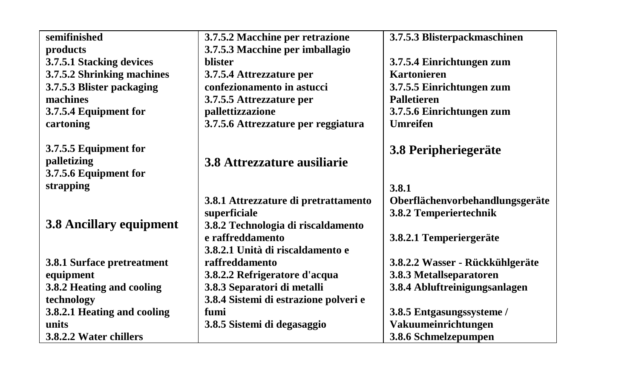| semifinished                | 3.7.5.2 Macchine per retrazione       | 3.7.5.3 Blisterpackmaschinen    |
|-----------------------------|---------------------------------------|---------------------------------|
| products                    | 3.7.5.3 Macchine per imballagio       |                                 |
| 3.7.5.1 Stacking devices    | <b>blister</b>                        | 3.7.5.4 Einrichtungen zum       |
| 3.7.5.2 Shrinking machines  | 3.7.5.4 Attrezzature per              | <b>Kartonieren</b>              |
| 3.7.5.3 Blister packaging   | confezionamento in astucci            | 3.7.5.5 Einrichtungen zum       |
| machines                    | 3.7.5.5 Attrezzature per              | <b>Palletieren</b>              |
| 3.7.5.4 Equipment for       | pallettizzazione                      | 3.7.5.6 Einrichtungen zum       |
| cartoning                   | 3.7.5.6 Attrezzature per reggiatura   | <b>Umreifen</b>                 |
|                             |                                       |                                 |
| 3.7.5.5 Equipment for       |                                       | 3.8 Peripheriegeräte            |
| palletizing                 | 3.8 Attrezzature ausiliarie           |                                 |
| 3.7.5.6 Equipment for       |                                       |                                 |
| strapping                   |                                       | 3.8.1                           |
|                             | 3.8.1 Attrezzature di pretrattamento  | Oberflächenvorbehandlungsgeräte |
|                             | superficiale                          | 3.8.2 Temperiertechnik          |
| 3.8 Ancillary equipment     | 3.8.2 Technologia di riscaldamento    |                                 |
|                             | e raffreddamento                      | 3.8.2.1 Temperiergeräte         |
|                             | 3.8.2.1 Unità di riscaldamento e      |                                 |
| 3.8.1 Surface pretreatment  | raffreddamento                        | 3.8.2.2 Wasser - Rückkühlgeräte |
| equipment                   | 3.8.2.2 Refrigeratore d'acqua         | 3.8.3 Metallseparatoren         |
| 3.8.2 Heating and cooling   | 3.8.3 Separatori di metalli           | 3.8.4 Abluftreinigungsanlagen   |
| technology                  | 3.8.4 Sistemi di estrazione polveri e |                                 |
| 3.8.2.1 Heating and cooling | fumi                                  | 3.8.5 Entgasungssysteme /       |
| units                       | 3.8.5 Sistemi di degasaggio           | Vakuumeinrichtungen             |
| 3.8.2.2 Water chillers      |                                       | 3.8.6 Schmelzepumpen            |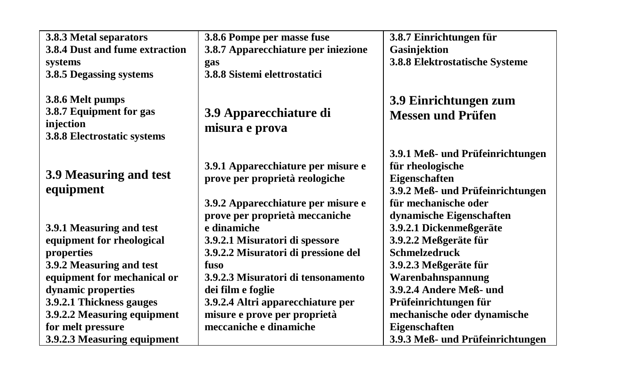| 3.8.3 Metal separators                                                                  | 3.8.6 Pompe per masse fuse                                           | 3.8.7 Einrichtungen für                                               |
|-----------------------------------------------------------------------------------------|----------------------------------------------------------------------|-----------------------------------------------------------------------|
| 3.8.4 Dust and fume extraction                                                          | 3.8.7 Apparecchiature per iniezione                                  | Gasinjektion                                                          |
| systems                                                                                 | gas                                                                  | 3.8.8 Elektrostatische Systeme                                        |
| 3.8.5 Degassing systems                                                                 | 3.8.8 Sistemi elettrostatici                                         |                                                                       |
| 3.8.6 Melt pumps<br>3.8.7 Equipment for gas<br>injection<br>3.8.8 Electrostatic systems | 3.9 Apparecchiature di<br>misura e prova                             | 3.9 Einrichtungen zum<br><b>Messen und Prüfen</b>                     |
| 3.9 Measuring and test                                                                  | 3.9.1 Apparecchiature per misure e<br>prove per proprietà reologiche | 3.9.1 Meß- und Prüfeinrichtungen<br>für rheologische<br>Eigenschaften |
| equipment                                                                               |                                                                      | 3.9.2 Meß- und Prüfeinrichtungen                                      |
|                                                                                         | 3.9.2 Apparecchiature per misure e                                   | für mechanische oder                                                  |
|                                                                                         | prove per proprietà meccaniche                                       | dynamische Eigenschaften                                              |
| 3.9.1 Measuring and test                                                                | e dinamiche                                                          | 3.9.2.1 Dickenmeßgeräte                                               |
| equipment for rheological                                                               | 3.9.2.1 Misuratori di spessore                                       | 3.9.2.2 Meßgeräte für                                                 |
| properties                                                                              | 3.9.2.2 Misuratori di pressione del                                  | <b>Schmelzedruck</b>                                                  |
| 3.9.2 Measuring and test                                                                | fuso                                                                 | 3.9.2.3 Meßgeräte für                                                 |
| equipment for mechanical or                                                             | 3.9.2.3 Misuratori di tensonamento                                   | Warenbahnspannung                                                     |
| dynamic properties                                                                      | dei film e foglie                                                    | 3.9.2.4 Andere Meß- und                                               |
| 3.9.2.1 Thickness gauges                                                                | 3.9.2.4 Altri apparecchiature per                                    | Prüfeinrichtungen für                                                 |
| 3.9.2.2 Measuring equipment                                                             | misure e prove per proprietà                                         | mechanische oder dynamische                                           |
| for melt pressure                                                                       | meccaniche e dinamiche                                               | Eigenschaften                                                         |
| 3.9.2.3 Measuring equipment                                                             |                                                                      | 3.9.3 Meß- und Prüfeinrichtungen                                      |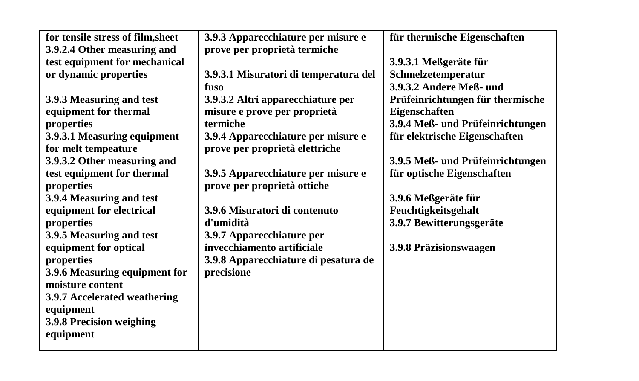| for tensile stress of film, sheet | 3.9.3 Apparecchiature per misure e    | für thermische Eigenschaften     |
|-----------------------------------|---------------------------------------|----------------------------------|
| 3.9.2.4 Other measuring and       | prove per proprietà termiche          |                                  |
| test equipment for mechanical     |                                       | 3.9.3.1 Meßgeräte für            |
| or dynamic properties             | 3.9.3.1 Misuratori di temperatura del | Schmelzetemperatur               |
|                                   | fuso                                  | 3.9.3.2 Andere Meß- und          |
| 3.9.3 Measuring and test          | 3.9.3.2 Altri apparecchiature per     | Prüfeinrichtungen für thermische |
| equipment for thermal             | misure e prove per proprietà          | Eigenschaften                    |
| properties                        | termiche                              | 3.9.4 Meß- und Prüfeinrichtungen |
| 3.9.3.1 Measuring equipment       | 3.9.4 Apparecchiature per misure e    | für elektrische Eigenschaften    |
| for melt tempeature               | prove per proprietà elettriche        |                                  |
| 3.9.3.2 Other measuring and       |                                       | 3.9.5 Meß- und Prüfeinrichtungen |
| test equipment for thermal        | 3.9.5 Apparecchiature per misure e    | für optische Eigenschaften       |
| properties                        | prove per proprietà ottiche           |                                  |
| 3.9.4 Measuring and test          |                                       | 3.9.6 Meßgeräte für              |
| equipment for electrical          | 3.9.6 Misuratori di contenuto         | Feuchtigkeitsgehalt              |
| properties                        | d'umidità                             | 3.9.7 Bewitterungsgeräte         |
| 3.9.5 Measuring and test          | 3.9.7 Apparecchiature per             |                                  |
| equipment for optical             | invecchiamento artificiale            | 3.9.8 Präzisionswaagen           |
| properties                        | 3.9.8 Apparecchiature di pesatura de  |                                  |
| 3.9.6 Measuring equipment for     | precisione                            |                                  |
| moisture content                  |                                       |                                  |
| 3.9.7 Accelerated weathering      |                                       |                                  |
| equipment                         |                                       |                                  |
| 3.9.8 Precision weighing          |                                       |                                  |
| equipment                         |                                       |                                  |
|                                   |                                       |                                  |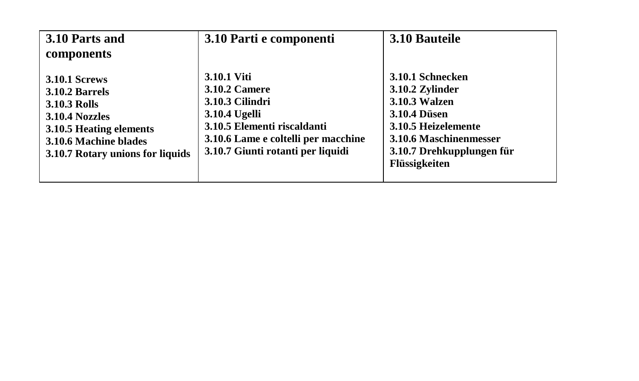| 3.10 Parts and                                                                                                                                                                 | 3.10 Parti e componenti                                                                                                                                                            | 3.10 Bauteile                                                                                                                                                                     |
|--------------------------------------------------------------------------------------------------------------------------------------------------------------------------------|------------------------------------------------------------------------------------------------------------------------------------------------------------------------------------|-----------------------------------------------------------------------------------------------------------------------------------------------------------------------------------|
| components                                                                                                                                                                     |                                                                                                                                                                                    |                                                                                                                                                                                   |
| <b>3.10.1 Screws</b><br><b>3.10.2 Barrels</b><br><b>3.10.3 Rolls</b><br>3.10.4 Nozzles<br>3.10.5 Heating elements<br>3.10.6 Machine blades<br>3.10.7 Rotary unions for liquids | 3.10.1 Viti<br><b>3.10.2 Camere</b><br>3.10.3 Cilindri<br>3.10.4 Ugelli<br>3.10.5 Elementi riscaldanti<br>3.10.6 Lame e coltelli per macchine<br>3.10.7 Giunti rotanti per liquidi | 3.10.1 Schnecken<br>3.10.2 Zylinder<br><b>3.10.3 Walzen</b><br><b>3.10.4 Düsen</b><br>3.10.5 Heizelemente<br>3.10.6 Maschinenmesser<br>3.10.7 Drehkupplungen für<br>Flüssigkeiten |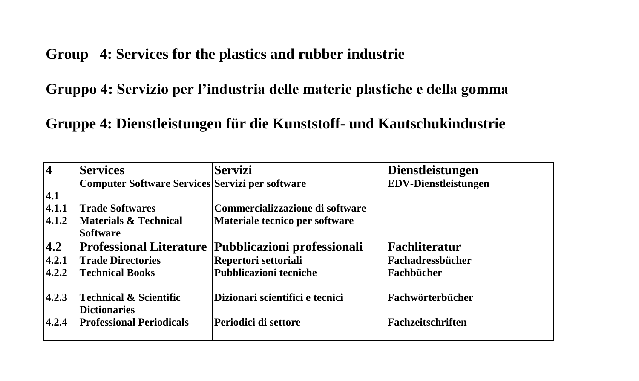**Group 4: Services for the plastics and rubber industrie**

**Gruppo 4: Servizio per l'industria delle materie plastiche e della gomma**

**Gruppe 4: Dienstleistungen für die Kunststoff- und Kautschukindustrie**

| $\overline{4}$ | <b>Services</b>                                          | <b>Servizi</b>                  | Dienstleistungen            |
|----------------|----------------------------------------------------------|---------------------------------|-----------------------------|
|                | Computer Software Services Servizi per software          |                                 | <b>EDV-Dienstleistungen</b> |
| 4.1            |                                                          |                                 |                             |
| 4.1.1          | <b>Trade Softwares</b>                                   | Commercializzazione di software |                             |
| 4.1.2          | Materials & Technical<br>Software                        | Materiale tecnico per software  |                             |
| 4.2            | <b>Professional Literature</b>                           | Pubblicazioni professionali     | Fachliteratur               |
| 4.2.1          | <b>Trade Directories</b>                                 | Repertori settoriali            | Fachadressbücher            |
| 4.2.2          | <b>Technical Books</b>                                   | <b>Pubblicazioni tecniche</b>   | Fachbücher                  |
| 4.2.3          | <b>Technical &amp; Scientific</b><br><b>Dictionaries</b> | Dizionari scientifici e tecnici | <b> Fachwörterbücher</b>    |
| 4.2.4          | <b>Professional Periodicals</b>                          | Periodici di settore            | Fachzeitschriften           |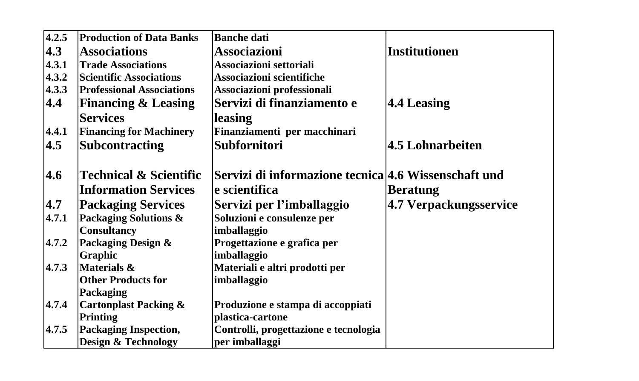| 4.2.5 | <b>Production of Data Banks</b>   | <b>Banche dati</b>                                   |                         |
|-------|-----------------------------------|------------------------------------------------------|-------------------------|
| 4.3   | <b>Associations</b>               | <b>Associazioni</b>                                  | <b>Institutionen</b>    |
| 4.3.1 | <b>Trade Associations</b>         | Associazioni settoriali                              |                         |
| 4.3.2 | <b>Scientific Associations</b>    | Associazioni scientifiche                            |                         |
| 4.3.3 | <b>Professional Associations</b>  | Associazioni professionali                           |                         |
| 4.4   | <b>Financing &amp; Leasing</b>    | Servizi di finanziamento e                           | <b>4.4 Leasing</b>      |
|       | <b>Services</b>                   | leasing                                              |                         |
| 4.4.1 | <b>Financing for Machinery</b>    | Finanziamenti per macchinari                         |                         |
| 4.5   | <b>Subcontracting</b>             | <b>Subfornitori</b>                                  | <b>4.5 Lohnarbeiten</b> |
|       |                                   |                                                      |                         |
| 4.6   | <b>Technical &amp; Scientific</b> | Servizi di informazione tecnica 4.6 Wissenschaft und |                         |
|       | <b>Information Services</b>       | e scientifica                                        | <b>Beratung</b>         |
| 4.7   | <b>Packaging Services</b>         | Servizi per l'imballaggio                            | 4.7 Verpackungsservice  |
| 4.7.1 | Packaging Solutions &             | Soluzioni e consulenze per                           |                         |
|       | <b>Consultancy</b>                | imballaggio                                          |                         |
| 4.7.2 | Packaging Design &                | Progettazione e grafica per                          |                         |
|       | Graphic                           | imballaggio                                          |                         |
| 4.7.3 | Materials &                       | Materiali e altri prodotti per                       |                         |
|       | <b>Other Products for</b>         | imballaggio                                          |                         |
|       | Packaging                         |                                                      |                         |
| 4.7.4 | <b>Cartonplast Packing &amp;</b>  | Produzione e stampa di accoppiati                    |                         |
|       | Printing                          | plastica-cartone                                     |                         |
| 4.7.5 | <b>Packaging Inspection,</b>      | Controlli, progettazione e tecnologia                |                         |
|       | <b>Design &amp; Technology</b>    | per imballaggi                                       |                         |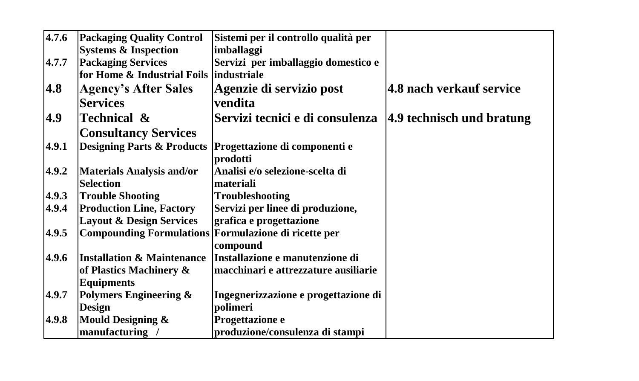| 4.7.6 | <b>Packaging Quality Control</b>                            | Sistemi per il controllo qualità per |                           |
|-------|-------------------------------------------------------------|--------------------------------------|---------------------------|
|       | <b>Systems &amp; Inspection</b>                             | imballaggi                           |                           |
| 4.7.7 | <b>Packaging Services</b>                                   | Servizi per imballaggio domestico e  |                           |
|       | for Home & Industrial Foils industriale                     |                                      |                           |
| 4.8   | <b>Agency's After Sales</b>                                 | Agenzie di servizio post             | 4.8 nach verkauf service  |
|       | <b>Services</b>                                             | vendita                              |                           |
| 4.9   | Technical &                                                 | Servizi tecnici e di consulenza      | 4.9 technisch und bratung |
|       | <b>Consultancy Services</b>                                 |                                      |                           |
| 4.9.1 | <b>Designing Parts &amp; Products</b>                       | Progettazione di componenti e        |                           |
|       |                                                             | prodotti                             |                           |
| 4.9.2 | <b>Materials Analysis and/or</b>                            | Analisi e/o selezione-scelta di      |                           |
|       | <b>Selection</b>                                            | materiali                            |                           |
| 4.9.3 | <b>Trouble Shooting</b>                                     | <b>Troubleshooting</b>               |                           |
| 4.9.4 | <b>Production Line, Factory</b>                             | Servizi per linee di produzione,     |                           |
|       | <b>Layout &amp; Design Services</b>                         | grafica e progettazione              |                           |
| 4.9.5 | <b>Compounding Formulations Formulazione di ricette per</b> |                                      |                           |
|       |                                                             | compound                             |                           |
| 4.9.6 | <b>Installation &amp; Maintenance</b>                       | Installazione e manutenzione di      |                           |
|       | of Plastics Machinery &                                     | macchinari e attrezzature ausiliarie |                           |
|       | <b>Equipments</b>                                           |                                      |                           |
| 4.9.7 | <b>Polymers Engineering &amp;</b>                           | Ingegnerizzazione e progettazione di |                           |
|       | <b>Design</b>                                               | polimeri                             |                           |
| 4.9.8 | <b>Mould Designing &amp;</b>                                | Progettazione e                      |                           |
|       | manufacturing /                                             | produzione/consulenza di stampi      |                           |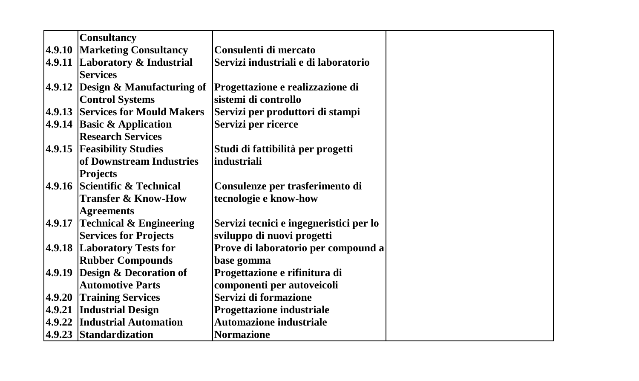| <b>Consultancy</b>                  |                                         |  |  |
|-------------------------------------|-----------------------------------------|--|--|
| 4.9.10 Marketing Consultancy        | Consulenti di mercato                   |  |  |
| 4.9.11 Laboratory & Industrial      | Servizi industriali e di laboratorio    |  |  |
| <b>Services</b>                     |                                         |  |  |
| 4.9.12 Design $\&$ Manufacturing of | Progettazione e realizzazione di        |  |  |
| <b>Control Systems</b>              | sistemi di controllo                    |  |  |
| 4.9.13 Services for Mould Makers    | Servizi per produttori di stampi        |  |  |
| 4.9.14 Basic & Application          | Servizi per ricerce                     |  |  |
| <b>Research Services</b>            |                                         |  |  |
| 4.9.15 Feasibility Studies          | Studi di fattibilità per progetti       |  |  |
| of Downstream Industries            | industriali                             |  |  |
| Projects                            |                                         |  |  |
| 4.9.16 Scientific & Technical       | Consulenze per trasferimento di         |  |  |
| <b>Transfer &amp; Know-How</b>      | tecnologie e know-how                   |  |  |
| <b>Agreements</b>                   |                                         |  |  |
| 4.9.17 Technical $&$ Engineering    | Servizi tecnici e ingegneristici per lo |  |  |
| <b>Services for Projects</b>        | sviluppo di nuovi progetti              |  |  |
| 4.9.18 Laboratory Tests for         | Prove di laboratorio per compound a     |  |  |
| <b>Rubber Compounds</b>             | base gomma                              |  |  |
| 4.9.19 Design & Decoration of       | Progettazione e rifinitura di           |  |  |
| <b>Automotive Parts</b>             | componenti per autoveicoli              |  |  |
| 4.9.20 Training Services            | Servizi di formazione                   |  |  |
| 4.9.21 Industrial Design            | Progettazione industriale               |  |  |
| 4.9.22 Industrial Automation        | <b>Automazione industriale</b>          |  |  |
| 4.9.23 Standardization              | <b>Normazione</b>                       |  |  |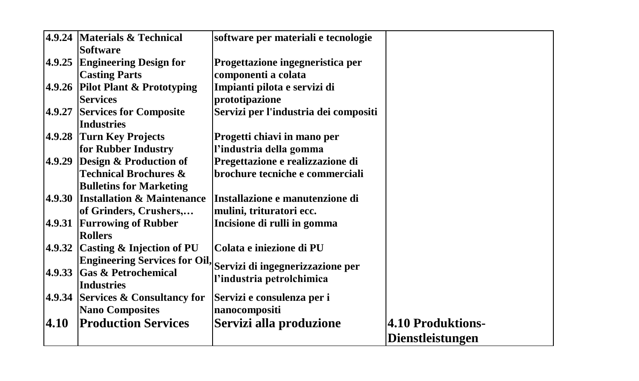|        |                                                 |                                       | Dienstleistungen  |
|--------|-------------------------------------------------|---------------------------------------|-------------------|
| 4.10   | <b>Production Services</b>                      | Servizi alla produzione               | 4.10 Produktions- |
|        | <b>Nano Composites</b>                          | nanocompositi                         |                   |
|        | 4.9.34 Services & Consultancy for               | Servizi e consulenza per i            |                   |
|        | 4.9.33 Gas & Petrochemical<br><b>Industries</b> | l'industria petrolchimica             |                   |
|        | <b>Engineering Services for Oil,</b>            | Servizi di ingegnerizzazione per      |                   |
|        | 4.9.32 Casting & Injection of PU                | Colata e iniezione di PU              |                   |
|        | <b>Rollers</b>                                  |                                       |                   |
|        | 4.9.31 Furrowing of Rubber                      | Incisione di rulli in gomma           |                   |
|        | of Grinders, Crushers,                          | mulini, trituratori ecc.              |                   |
|        | 4.9.30 Installation & Maintenance               | Installazione e manutenzione di       |                   |
|        | <b>Bulletins for Marketing</b>                  |                                       |                   |
|        | <b>Technical Brochures &amp;</b>                | brochure tecniche e commerciali       |                   |
|        | 4.9.29 Design & Production of                   | Pregettazione e realizzazione di      |                   |
|        | for Rubber Industry                             | l'industria della gomma               |                   |
|        | 4.9.28 Turn Key Projects                        | Progetti chiavi in mano per           |                   |
|        | <b>Industries</b>                               |                                       |                   |
| 4.9.27 | <b>Services for Composite</b>                   | Servizi per l'industria dei compositi |                   |
|        | <b>Services</b>                                 | prototipazione                        |                   |
|        | 4.9.26 Pilot Plant & Prototyping                | Impianti pilota e servizi di          |                   |
|        | <b>Casting Parts</b>                            | componenti a colata                   |                   |
|        | 4.9.25 Engineering Design for                   | Progettazione ingegneristica per      |                   |
|        | <b>Software</b>                                 |                                       |                   |
|        | 4.9.24 Materials & Technical                    | software per materiali e tecnologie   |                   |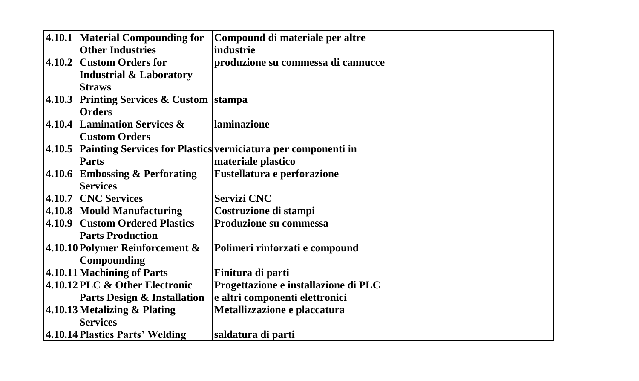| 4.10.1 Material Compounding for          | Compound di materiale per altre                                      |  |
|------------------------------------------|----------------------------------------------------------------------|--|
| <b>Other Industries</b>                  | industrie                                                            |  |
| 4.10.2 Custom Orders for                 | produzione su commessa di cannucce                                   |  |
| <b>Industrial &amp; Laboratory</b>       |                                                                      |  |
| <b>Straws</b>                            |                                                                      |  |
| 4.10.3 Printing Services & Custom stampa |                                                                      |  |
| <b>Orders</b>                            |                                                                      |  |
| 4.10.4 Lamination Services &             | laminazione                                                          |  |
| <b>Custom Orders</b>                     |                                                                      |  |
|                                          | 4.10.5 Painting Services for Plastics verniciatura per componenti in |  |
| <b>Parts</b>                             | materiale plastico                                                   |  |
| 4.10.6 Embossing & Perforating           | <b>Fustellatura e perforazione</b>                                   |  |
| <b>Services</b>                          |                                                                      |  |
| 4.10.7 CNC Services                      | <b>Servizi CNC</b>                                                   |  |
| 4.10.8 Mould Manufacturing               | Costruzione di stampi                                                |  |
| 4.10.9 Custom Ordered Plastics           | Produzione su commessa                                               |  |
| <b>Parts Production</b>                  |                                                                      |  |
| 4.10.10 Polymer Reinforcement $\&$       | Polimeri rinforzati e compound                                       |  |
| Compounding                              |                                                                      |  |
| 4.10.11 Machining of Parts               | Finitura di parti                                                    |  |
| 4.10.12 PLC & Other Electronic           | Progettazione e installazione di PLC                                 |  |
| <b>Parts Design &amp; Installation</b>   | e altri componenti elettronici                                       |  |
| 4.10.13 Metalizing & Plating             | Metallizzazione e placcatura                                         |  |
| <b>Services</b>                          |                                                                      |  |
| 4.10.14 Plastics Parts' Welding          | saldatura di parti                                                   |  |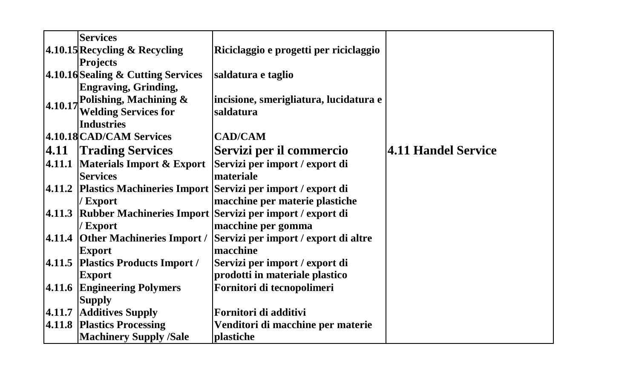|         | <b>Services</b>                    |                                                                   |                     |
|---------|------------------------------------|-------------------------------------------------------------------|---------------------|
|         | 4.10.15 Recycling & Recycling      | Riciclaggio e progetti per riciclaggio                            |                     |
|         | <b>Projects</b>                    |                                                                   |                     |
|         | 4.10.16 Sealing & Cutting Services | saldatura e taglio                                                |                     |
|         | <b>Engraving, Grinding,</b>        |                                                                   |                     |
| 4.10.17 | Polishing, Machining &             | incisione, smerigliatura, lucidatura e                            |                     |
|         | <b>Welding Services for</b>        | saldatura                                                         |                     |
|         | <b>Industries</b>                  |                                                                   |                     |
|         | 4.10.18 CAD/CAM Services           | <b>CAD/CAM</b>                                                    |                     |
| 4.11    | <b>Trading Services</b>            | Servizi per il commercio                                          | 4.11 Handel Service |
|         |                                    | 4.11.1 Materials Import & Export Servizi per import / export di   |                     |
|         | <b>Services</b>                    | materiale                                                         |                     |
|         |                                    | 4.11.2 Plastics Machineries Import Servizi per import / export di |                     |
|         | / Export                           | macchine per materie plastiche                                    |                     |
| 4.11.3  |                                    | Rubber Machineries Import Servizi per import / export di          |                     |
|         | / Export                           | macchine per gomma                                                |                     |
|         | 4.11.4 Other Machineries Import /  | Servizi per import / export di altre                              |                     |
|         | <b>Export</b>                      | macchine                                                          |                     |
|         | 4.11.5 Plastics Products Import /  | Servizi per import / export di                                    |                     |
|         | <b>Export</b>                      | prodotti in materiale plastico                                    |                     |
|         | 4.11.6 Engineering Polymers        | Fornitori di tecnopolimeri                                        |                     |
|         | <b>Supply</b>                      |                                                                   |                     |
|         | 4.11.7 Additives Supply            | Fornitori di additivi                                             |                     |
|         | 4.11.8 Plastics Processing         | Venditori di macchine per materie                                 |                     |
|         | <b>Machinery Supply /Sale</b>      | plastiche                                                         |                     |